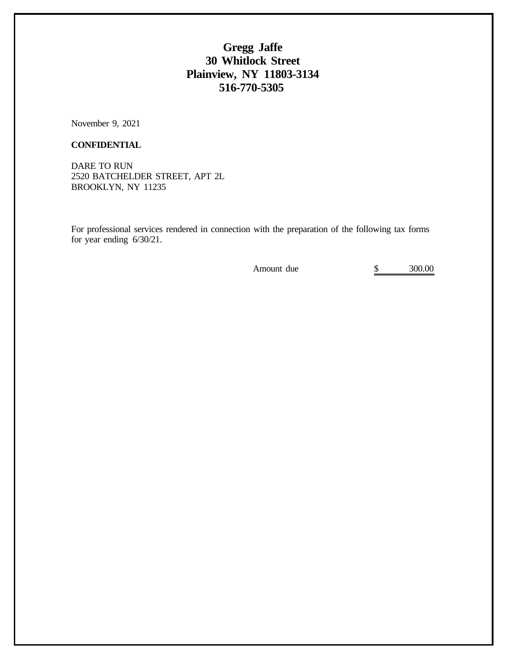# **Gregg Jaffe 30 Whitlock Street Plainview, NY 11803-3134 516-770-5305**

November 9, 2021

### **CONFIDENTIAL**

DARE TO RUN 2520 BATCHELDER STREET, APT 2L BROOKLYN, NY 11235

For professional services rendered in connection with the preparation of the following tax forms for year ending 6/30/21.

Amount due \$ 300.00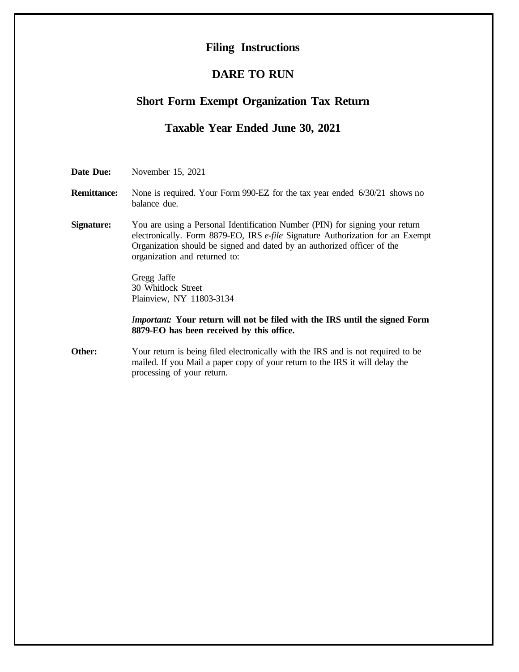### **Filing Instructions**

### **DARE TO RUN**

# **Short Form Exempt Organization Tax Return**

## **Taxable Year Ended June 30, 2021**

- **Date Due:** November 15, 2021
- **Remittance:** None is required. Your Form 990-EZ for the tax year ended 6/30/21 shows no balance due.
- **Signature:** You are using a Personal Identification Number (PIN) for signing your return electronically. Form 8879-EO, IRS *e-file* Signature Authorization for an Exempt Organization should be signed and dated by an authorized officer of the organization and returned to:

Gregg Jaffe 30 Whitlock Street Plainview, NY 11803-3134

#### *Important:* **Your return will not be filed with the IRS until the signed Form 8879-EO has been received by this office.**

**Other:** Your return is being filed electronically with the IRS and is not required to be mailed. If you Mail a paper copy of your return to the IRS it will delay the processing of your return.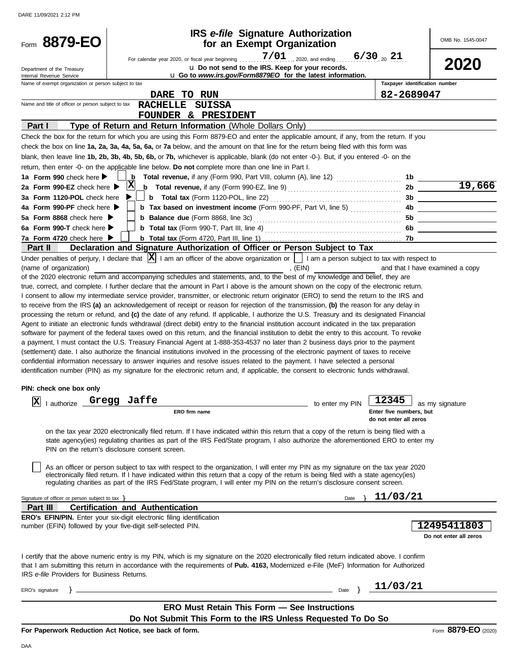| 8879-EO<br>Form                                                                  |                                                                                                                                                                                                                                       | OMB No. 1545-0047                                 |                                 |
|----------------------------------------------------------------------------------|---------------------------------------------------------------------------------------------------------------------------------------------------------------------------------------------------------------------------------------|---------------------------------------------------|---------------------------------|
|                                                                                  | for an Exempt Organization<br>7/01<br>$\ldots$ , 2020, and ending $\ldots$ .<br>For calendar year 2020, or fiscal year beginning                                                                                                      | $6/30_{20}$ 21                                    |                                 |
| Department of the Treasury                                                       |                                                                                                                                                                                                                                       | 2020                                              |                                 |
| Internal Revenue Service<br>Name of exempt organization or person subject to tax | u Go to www.irs.gov/Form8879EO for the latest information.                                                                                                                                                                            | Taxpayer identification number                    |                                 |
|                                                                                  | DARE TO RUN                                                                                                                                                                                                                           | 82-2689047                                        |                                 |
| Name and title of officer or person subject to tax                               | <b>SUISSA</b><br><b>RACHELLE</b>                                                                                                                                                                                                      |                                                   |                                 |
|                                                                                  | FOUNDER & PRESIDENT                                                                                                                                                                                                                   |                                                   |                                 |
| Part I                                                                           | Type of Return and Return Information (Whole Dollars Only)                                                                                                                                                                            |                                                   |                                 |
|                                                                                  | Check the box for the return for which you are using this Form 8879-EO and enter the applicable amount, if any, from the return. If you                                                                                               |                                                   |                                 |
|                                                                                  | check the box on line 1a, 2a, 3a, 4a, 5a, 6a, or 7a below, and the amount on that line for the return being filed with this form was                                                                                                  |                                                   |                                 |
|                                                                                  | blank, then leave line 1b, 2b, 3b, 4b, 5b, 6b, or 7b, whichever is applicable, blank (do not enter -0-). But, if you entered -0- on the                                                                                               |                                                   |                                 |
|                                                                                  | return, then enter -0- on the applicable line below. Do not complete more than one line in Part I.                                                                                                                                    |                                                   |                                 |
| 1a Form 990 check here ▶                                                         | Total revenue, if any (Form 990, Part VIII, column (A), line 12)<br>b                                                                                                                                                                 | 1b                                                |                                 |
| 2a Form 990-EZ check here ▶                                                      | X                                                                                                                                                                                                                                     | 2 <sub>b</sub>                                    | 19,666                          |
| 3a Form 1120-POL check here                                                      |                                                                                                                                                                                                                                       | 3b                                                |                                 |
| 4a Form 990-PF check here $\blacktriangleright$                                  | <b>b</b> Tax based on investment income (Form 990-PF, Part VI, line 5)                                                                                                                                                                | 4b                                                |                                 |
| 5a Form 8868 check here $\blacktriangleright$                                    |                                                                                                                                                                                                                                       | 5b                                                |                                 |
| 6a Form 990-T check here                                                         |                                                                                                                                                                                                                                       | 6b                                                |                                 |
| 7a Form 4720 check here $\blacktriangleright$                                    |                                                                                                                                                                                                                                       | 7b                                                |                                 |
| Part II                                                                          | Declaration and Signature Authorization of Officer or Person Subject to Tax<br>Under penalties of perjury, I declare that $ X $ I am an officer of the above organization or $  \cdot  $ I am a person subject to tax with respect to |                                                   |                                 |
|                                                                                  |                                                                                                                                                                                                                                       |                                                   | and that I have examined a copy |
| (name of organization)                                                           | , $(EIN)$<br>of the 2020 electronic return and accompanying schedules and statements, and, to the best of my knowledge and belief, they are                                                                                           |                                                   |                                 |
|                                                                                  | true, correct, and complete. I further declare that the amount in Part I above is the amount shown on the copy of the electronic return.                                                                                              |                                                   |                                 |
|                                                                                  | I consent to allow my intermediate service provider, transmitter, or electronic return originator (ERO) to send the return to the IRS and                                                                                             |                                                   |                                 |
|                                                                                  | to receive from the IRS (a) an acknowledgement of receipt or reason for rejection of the transmission, (b) the reason for any delay in                                                                                                |                                                   |                                 |
|                                                                                  | processing the return or refund, and (c) the date of any refund. If applicable, I authorize the U.S. Treasury and its designated Financial                                                                                            |                                                   |                                 |
|                                                                                  | Agent to initiate an electronic funds withdrawal (direct debit) entry to the financial institution account indicated in the tax preparation                                                                                           |                                                   |                                 |
|                                                                                  | software for payment of the federal taxes owed on this return, and the financial institution to debit the entry to this account. To revoke                                                                                            |                                                   |                                 |
|                                                                                  | a payment, I must contact the U.S. Treasury Financial Agent at 1-888-353-4537 no later than 2 business days prior to the payment                                                                                                      |                                                   |                                 |
|                                                                                  | (settlement) date. I also authorize the financial institutions involved in the processing of the electronic payment of taxes to receive                                                                                               |                                                   |                                 |
|                                                                                  | confidential information necessary to answer inquiries and resolve issues related to the payment. I have selected a personal                                                                                                          |                                                   |                                 |
|                                                                                  | identification number (PIN) as my signature for the electronic return and, if applicable, the consent to electronic funds withdrawal.                                                                                                 |                                                   |                                 |
| PIN: check one box only                                                          |                                                                                                                                                                                                                                       |                                                   |                                 |
|                                                                                  |                                                                                                                                                                                                                                       |                                                   |                                 |
| x <br>I authorize _                                                              | Gregg Jaffe<br>to enter my PIN                                                                                                                                                                                                        | 12345                                             | as my signature                 |
|                                                                                  | ERO firm name                                                                                                                                                                                                                         | Enter five numbers, but<br>do not enter all zeros |                                 |
|                                                                                  |                                                                                                                                                                                                                                       |                                                   |                                 |
|                                                                                  | on the tax year 2020 electronically filed return. If I have indicated within this return that a copy of the return is being filed with a                                                                                              |                                                   |                                 |
|                                                                                  | state agency(ies) regulating charities as part of the IRS Fed/State program, I also authorize the aforementioned ERO to enter my<br>PIN on the return's disclosure consent screen.                                                    |                                                   |                                 |
|                                                                                  |                                                                                                                                                                                                                                       |                                                   |                                 |
|                                                                                  | As an officer or person subject to tax with respect to the organization, I will enter my PIN as my signature on the tax year 2020                                                                                                     |                                                   |                                 |
|                                                                                  | electronically filed return. If I have indicated within this return that a copy of the return is being filed with a state agency(ies)                                                                                                 |                                                   |                                 |
|                                                                                  | regulating charities as part of the IRS Fed/State program, I will enter my PIN on the return's disclosure consent screen.                                                                                                             |                                                   |                                 |
| Signature of officer or person subject to tax $\}$                               | Date                                                                                                                                                                                                                                  | 11/03/21                                          |                                 |
| Part III                                                                         | <b>Certification and Authentication</b>                                                                                                                                                                                               |                                                   |                                 |
|                                                                                  | <b>ERO's EFIN/PIN.</b> Enter your six-digit electronic filing identification                                                                                                                                                          |                                                   |                                 |
|                                                                                  | number (EFIN) followed by your five-digit self-selected PIN.                                                                                                                                                                          |                                                   | 12495411803                     |
|                                                                                  |                                                                                                                                                                                                                                       |                                                   | Do not enter all zeros          |
|                                                                                  |                                                                                                                                                                                                                                       |                                                   |                                 |
|                                                                                  | I certify that the above numeric entry is my PIN, which is my signature on the 2020 electronically filed return indicated above. I confirm                                                                                            |                                                   |                                 |
|                                                                                  | that I am submitting this return in accordance with the requirements of Pub. 4163, Modernized e-File (MeF) Information for Authorized                                                                                                 |                                                   |                                 |
| IRS e-file Providers for Business Returns.                                       |                                                                                                                                                                                                                                       |                                                   |                                 |
| ERO's signature                                                                  | Date $\}$                                                                                                                                                                                                                             | 11/03/21                                          |                                 |
|                                                                                  |                                                                                                                                                                                                                                       |                                                   |                                 |
|                                                                                  | <b>ERO Must Retain This Form - See Instructions</b>                                                                                                                                                                                   |                                                   |                                 |
|                                                                                  | Do Not Submit This Form to the IRS Unless Requested To Do So                                                                                                                                                                          |                                                   |                                 |
|                                                                                  | For Paperwork Reduction Act Notice, see back of form.                                                                                                                                                                                 |                                                   | Form 8879-EO (2020)             |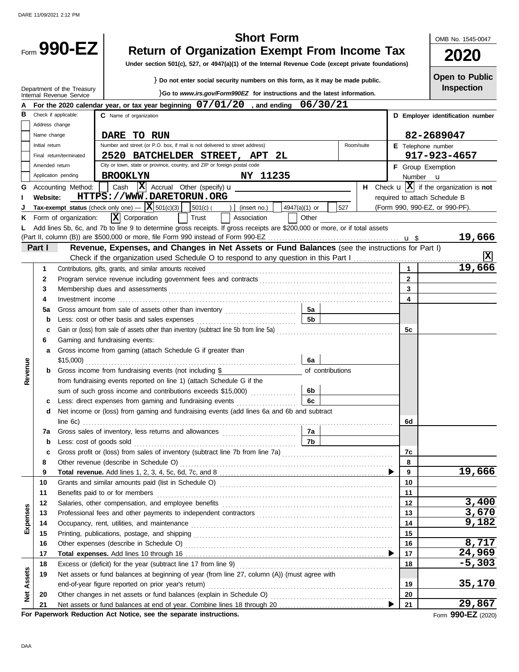DARE 11/09/2021 2:12 PM

|                   |                |                            | <b>Short Form</b>                                                                                                                                                                                                             |                    | OMB No. 1545-0047                                               |  |  |
|-------------------|----------------|----------------------------|-------------------------------------------------------------------------------------------------------------------------------------------------------------------------------------------------------------------------------|--------------------|-----------------------------------------------------------------|--|--|
|                   |                | Form 990-EZ                | <b>Return of Organization Exempt From Income Tax</b><br>Under section 501(c), 527, or 4947(a)(1) of the Internal Revenue Code (except private foundations)                                                                    |                    | 2020                                                            |  |  |
|                   |                |                            | } Do not enter social security numbers on this form, as it may be made public.                                                                                                                                                |                    | <b>Open to Public</b>                                           |  |  |
|                   |                | Department of the Treasury | }Go to www.irs.gov/Form990EZ for instructions and the latest information.                                                                                                                                                     |                    | Inspection                                                      |  |  |
|                   |                | Internal Revenue Service   | For the 2020 calendar year, or tax year beginning $07/01/20$ , and ending<br>06/30/21                                                                                                                                         |                    |                                                                 |  |  |
| в                 |                | Check if applicable:       | C Name of organization                                                                                                                                                                                                        |                    | D Employer identification number                                |  |  |
|                   | Address change |                            |                                                                                                                                                                                                                               |                    |                                                                 |  |  |
|                   | Name change    |                            | DARE TO RUN                                                                                                                                                                                                                   | 82-2689047         |                                                                 |  |  |
|                   | Initial return |                            | Number and street (or P.O. box, if mail is not delivered to street address)<br>Room/suite                                                                                                                                     | E Telephone number |                                                                 |  |  |
|                   |                | Final return/terminated    | 2520 BATCHELDER STREET, APT<br>2L                                                                                                                                                                                             |                    | 917-923-4657                                                    |  |  |
|                   | Amended return |                            | City or town, state or province, country, and ZIP or foreign postal code                                                                                                                                                      |                    | <b>F</b> Group Exemption                                        |  |  |
|                   |                | Application pending        | NY 11235<br><b>BROOKLYN</b>                                                                                                                                                                                                   | Number <b>u</b>    |                                                                 |  |  |
| G                 |                | Accounting Method:         | $ \mathbf{X} $ Accrual Other (specify) $\mathbf{u}$ ______<br>Cash<br>HTTPS://WWW.DARETORUN.ORG                                                                                                                               |                    | H Check $\mathbf{u}$ $ \mathbf{X} $ if the organization is not  |  |  |
|                   | Website:       |                            | Tax-exempt status (check only one) $ \mathbf{X}$ 501(c)(3)<br>527<br>501(c)<br>4947(a)(1) or<br>) (insert no.)                                                                                                                |                    | required to attach Schedule B<br>(Form 990, 990-EZ, or 990-PF). |  |  |
| ĸ.                |                | Form of organization:      | $ \mathbf{X} $ Corporation<br>Trust<br>Association<br>Other                                                                                                                                                                   |                    |                                                                 |  |  |
|                   |                |                            | Add lines 5b, 6c, and 7b to line 9 to determine gross receipts. If gross receipts are \$200,000 or more, or if total assets                                                                                                   |                    |                                                                 |  |  |
|                   |                |                            |                                                                                                                                                                                                                               |                    | 19,666                                                          |  |  |
|                   | Part I         |                            | Revenue, Expenses, and Changes in Net Assets or Fund Balances (see the instructions for Part I)                                                                                                                               |                    |                                                                 |  |  |
|                   |                |                            |                                                                                                                                                                                                                               |                    | X                                                               |  |  |
|                   | 1              |                            | Contributions, gifts, grants, and similar amounts received                                                                                                                                                                    | $\mathbf{1}$       | 19,666                                                          |  |  |
|                   | 2              |                            |                                                                                                                                                                                                                               | $\mathbf{2}$       |                                                                 |  |  |
|                   | 3              |                            |                                                                                                                                                                                                                               | 3                  |                                                                 |  |  |
|                   | 4              |                            |                                                                                                                                                                                                                               | 4                  |                                                                 |  |  |
|                   | 5a             |                            | 5а<br>Gross amount from sale of assets other than inventory                                                                                                                                                                   |                    |                                                                 |  |  |
|                   | b              |                            | 5b                                                                                                                                                                                                                            |                    |                                                                 |  |  |
|                   | с              |                            |                                                                                                                                                                                                                               | 5c                 |                                                                 |  |  |
|                   | 6<br>a         |                            | Gaming and fundraising events:<br>Gross income from gaming (attach Schedule G if greater than                                                                                                                                 |                    |                                                                 |  |  |
|                   |                |                            | 6a                                                                                                                                                                                                                            |                    |                                                                 |  |  |
| Revenue           | b              |                            | of contributions<br>Gross income from fundraising events (not including \$                                                                                                                                                    |                    |                                                                 |  |  |
|                   |                |                            | from fundraising events reported on line 1) (attach Schedule G if the                                                                                                                                                         |                    |                                                                 |  |  |
|                   |                |                            | sum of such gross income and contributions exceeds \$15,000)<br>6b                                                                                                                                                            |                    |                                                                 |  |  |
|                   | c              |                            | Less: direct expenses from gaming and fundraising events<br>6c                                                                                                                                                                |                    |                                                                 |  |  |
|                   |                |                            | d Net income or (loss) from gaming and fundraising events (add lines 6a and 6b and subtract                                                                                                                                   |                    |                                                                 |  |  |
|                   |                |                            |                                                                                                                                                                                                                               | 6d                 |                                                                 |  |  |
|                   | 7a             |                            | 7a                                                                                                                                                                                                                            |                    |                                                                 |  |  |
|                   | b              |                            | 7b                                                                                                                                                                                                                            |                    |                                                                 |  |  |
|                   | c<br>8         |                            | Gross profit or (loss) from sales of inventory (subtract line 7b from line 7a) [[[[[[[[[[[[[[[[[[[[[[[[[[[[[[                                                                                                                 | 7c<br>8            |                                                                 |  |  |
|                   | 9              |                            |                                                                                                                                                                                                                               | 9                  | 19,666                                                          |  |  |
|                   | 10             |                            |                                                                                                                                                                                                                               | 10                 |                                                                 |  |  |
|                   | 11             |                            |                                                                                                                                                                                                                               | 11                 |                                                                 |  |  |
|                   | 12             |                            | Salaries, other compensation, and employee benefits [11] match contains and container compensation, and employee benefits [11] match contains and contains and contains and contains and contains and contains and contains a | 12                 | 3,400                                                           |  |  |
| Expenses          | 13             |                            |                                                                                                                                                                                                                               | 13                 | 3,670                                                           |  |  |
|                   | 14             |                            |                                                                                                                                                                                                                               | 14                 | 9,182                                                           |  |  |
|                   | 15             |                            |                                                                                                                                                                                                                               | 15                 |                                                                 |  |  |
|                   | 16             |                            |                                                                                                                                                                                                                               | 16                 | 8,717                                                           |  |  |
|                   | 17             |                            |                                                                                                                                                                                                                               | 17                 | 24,969                                                          |  |  |
|                   | 18<br>19       |                            | Net assets or fund balances at beginning of year (from line 27, column (A)) (must agree with                                                                                                                                  | 18                 | $-5,303$                                                        |  |  |
|                   |                |                            |                                                                                                                                                                                                                               | 19                 | 35,170                                                          |  |  |
| <b>Net Assets</b> | 20             |                            |                                                                                                                                                                                                                               | 20                 |                                                                 |  |  |
|                   | 21             |                            |                                                                                                                                                                                                                               | 21                 | 29,867                                                          |  |  |
|                   |                |                            |                                                                                                                                                                                                                               |                    |                                                                 |  |  |

**For Paperwork Reduction Act Notice, see the separate instructions.**

Form **990-EZ** (2020)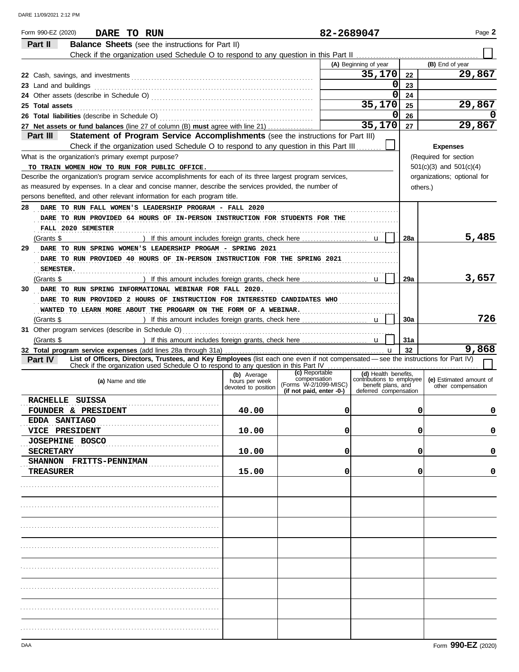DARE 11/09/2021 2:12 PM

| Form 990-EZ (2020)<br>DARE TO RUN                                                                                                                                                                                              |                               | 82-2689047                            |                                                   |            | Page 2                      |
|--------------------------------------------------------------------------------------------------------------------------------------------------------------------------------------------------------------------------------|-------------------------------|---------------------------------------|---------------------------------------------------|------------|-----------------------------|
| Part II<br><b>Balance Sheets</b> (see the instructions for Part II)                                                                                                                                                            |                               |                                       |                                                   |            |                             |
|                                                                                                                                                                                                                                |                               |                                       |                                                   |            |                             |
|                                                                                                                                                                                                                                |                               |                                       | (A) Beginning of year                             |            | (B) End of year             |
|                                                                                                                                                                                                                                |                               |                                       | 35,170                                            | 22         | 29,867                      |
| 23 Land and buildings <i>machines and contained and buildings</i>                                                                                                                                                              |                               |                                       | 0                                                 | 23         |                             |
|                                                                                                                                                                                                                                |                               |                                       | $\mathbf 0$                                       | 24         |                             |
| 25 Total assets                                                                                                                                                                                                                |                               |                                       | 35,170                                            | 25         | 29,867                      |
| 26 Total liabilities (describe in Schedule O) [[11] Content Content Content Content Content Content Content Content Content Content Content Content Content Content Content Content Content Content Content Content Content Co |                               |                                       | 0                                                 | 26         |                             |
| 27 Net assets or fund balances (line 27 of column (B) must agree with line 21)                                                                                                                                                 |                               |                                       | 35,170                                            | 27         | 29,867                      |
| Part III<br>Statement of Program Service Accomplishments (see the instructions for Part III)                                                                                                                                   |                               |                                       |                                                   |            |                             |
| Check if the organization used Schedule O to respond to any question in this Part III                                                                                                                                          |                               |                                       |                                                   |            | <b>Expenses</b>             |
| What is the organization's primary exempt purpose?                                                                                                                                                                             |                               |                                       |                                                   |            | (Required for section       |
|                                                                                                                                                                                                                                |                               |                                       |                                                   |            | $501(c)(3)$ and $501(c)(4)$ |
| TO TRAIN WOMEN HOW TO RUN FOR PUBLIC OFFICE.<br>Describe the organization's program service accomplishments for each of its three largest program services,                                                                    |                               |                                       |                                                   |            | organizations; optional for |
| as measured by expenses. In a clear and concise manner, describe the services provided, the number of                                                                                                                          |                               |                                       |                                                   |            |                             |
| persons benefited, and other relevant information for each program title.                                                                                                                                                      |                               |                                       |                                                   |            | others.)                    |
|                                                                                                                                                                                                                                |                               |                                       |                                                   |            |                             |
| DARE TO RUN FALL WOMEN'S LEADERSHIP PROGRAM - FALL 2020<br>28                                                                                                                                                                  |                               |                                       |                                                   |            |                             |
| DARE TO RUN PROVIDED 64 HOURS OF IN-PERSON INSTRUCTION FOR STUDENTS FOR THE                                                                                                                                                    |                               |                                       |                                                   |            |                             |
| FALL 2020 SEMESTER                                                                                                                                                                                                             |                               |                                       |                                                   |            |                             |
| (Grants \$                                                                                                                                                                                                                     |                               |                                       |                                                   | <b>28a</b> | 5,485                       |
| 29<br>DARE TO RUN SPRING WOMEN'S LEADERSHIP PROGAM - SPRING 2021                                                                                                                                                               |                               |                                       |                                                   |            |                             |
| DARE TO RUN PROVIDED 40 HOURS OF IN-PERSON INSTRUCTION FOR THE SPRING 2021                                                                                                                                                     |                               |                                       |                                                   |            |                             |
| SEMESTER.                                                                                                                                                                                                                      |                               |                                       |                                                   |            |                             |
| (Grants \$                                                                                                                                                                                                                     |                               |                                       |                                                   | 29a        | 3,657                       |
| 30<br>DARE TO RUN SPRING INFORMATIONAL WEBINAR FOR FALL 2020.                                                                                                                                                                  |                               |                                       |                                                   |            |                             |
| DARE TO RUN PROVIDED 2 HOURS OF INSTRUCTION FOR INTERESTED CANDIDATES WHO                                                                                                                                                      |                               |                                       |                                                   |            |                             |
| WANTED TO LEARN MORE ABOUT THE PROGARM ON THE FORM OF A WEBINAR.                                                                                                                                                               |                               |                                       |                                                   |            |                             |
| (Grants \$                                                                                                                                                                                                                     |                               |                                       |                                                   | 30a        | 726                         |
|                                                                                                                                                                                                                                |                               |                                       |                                                   |            |                             |
| (Grants \$                                                                                                                                                                                                                     |                               |                                       |                                                   | 31a        |                             |
|                                                                                                                                                                                                                                |                               |                                       | $\mathbf{u}$                                      | 32         | 9,868                       |
| List of Officers, Directors, Trustees, and Key Employees (list each one even if not compensated - see the instructions for Part IV)<br>Part IV                                                                                 |                               |                                       |                                                   |            |                             |
|                                                                                                                                                                                                                                |                               | (c) Reportable                        |                                                   |            |                             |
| (a) Name and title                                                                                                                                                                                                             | (b) Average<br>hours per week | compensation<br>(Forms W-2/1099-MISC) | (d) Health benefits,<br>contributions to employee |            | (e) Estimated amount of     |
|                                                                                                                                                                                                                                | devoted to position           | (if not paid, enter -0-)              | benefit plans, and<br>deferred compensation       |            | other compensation          |
| RACHELLE SUISSA                                                                                                                                                                                                                |                               |                                       |                                                   |            |                             |
| FOUNDER & PRESIDENT                                                                                                                                                                                                            | 40.00                         | 0                                     |                                                   | 0          | 0                           |
| <b>SANTIAGO</b><br>EDDA                                                                                                                                                                                                        |                               |                                       |                                                   |            |                             |
| PRESIDENT<br>VICE                                                                                                                                                                                                              | 10.00                         | 0                                     |                                                   | 0          | 0                           |
| <b>JOSEPHINE BOSCO</b>                                                                                                                                                                                                         |                               |                                       |                                                   |            |                             |
| <b>SECRETARY</b>                                                                                                                                                                                                               | 10.00                         | 0                                     |                                                   | 0          | 0                           |
| SHANNON FRITTS-PENNIMAN                                                                                                                                                                                                        |                               |                                       |                                                   |            |                             |
| <b>TREASURER</b>                                                                                                                                                                                                               | 15.00                         | 0                                     |                                                   | 0          | 0                           |
|                                                                                                                                                                                                                                |                               |                                       |                                                   |            |                             |
|                                                                                                                                                                                                                                |                               |                                       |                                                   |            |                             |
|                                                                                                                                                                                                                                |                               |                                       |                                                   |            |                             |
|                                                                                                                                                                                                                                |                               |                                       |                                                   |            |                             |
|                                                                                                                                                                                                                                |                               |                                       |                                                   |            |                             |
|                                                                                                                                                                                                                                |                               |                                       |                                                   |            |                             |
|                                                                                                                                                                                                                                |                               |                                       |                                                   |            |                             |
|                                                                                                                                                                                                                                |                               |                                       |                                                   |            |                             |
|                                                                                                                                                                                                                                |                               |                                       |                                                   |            |                             |
|                                                                                                                                                                                                                                |                               |                                       |                                                   |            |                             |
|                                                                                                                                                                                                                                |                               |                                       |                                                   |            |                             |
|                                                                                                                                                                                                                                |                               |                                       |                                                   |            |                             |
|                                                                                                                                                                                                                                |                               |                                       |                                                   |            |                             |
|                                                                                                                                                                                                                                |                               |                                       |                                                   |            |                             |
|                                                                                                                                                                                                                                |                               |                                       |                                                   |            |                             |
|                                                                                                                                                                                                                                |                               |                                       |                                                   |            |                             |
|                                                                                                                                                                                                                                |                               |                                       |                                                   |            |                             |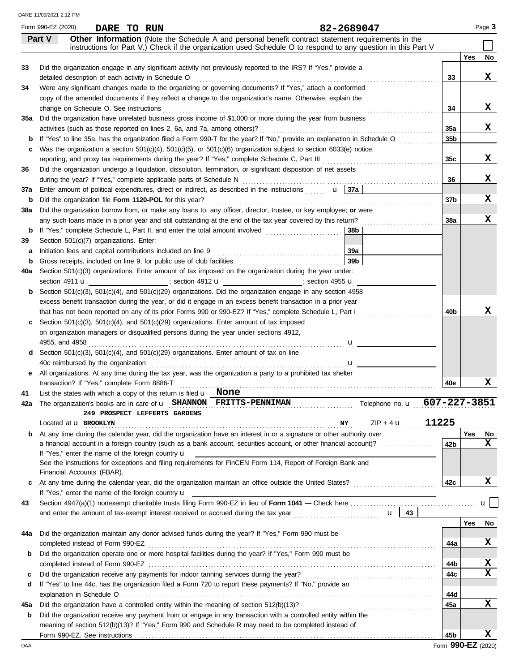DARE 11/09/2021 2:12 PM

|        | Form 990-EZ (2020)                      | DARE TO RUN |                                                                             |                                                                                                                                                                                         | 82-2689047                                                                                                                |                        |     | Page 3       |
|--------|-----------------------------------------|-------------|-----------------------------------------------------------------------------|-----------------------------------------------------------------------------------------------------------------------------------------------------------------------------------------|---------------------------------------------------------------------------------------------------------------------------|------------------------|-----|--------------|
|        | Part V                                  |             |                                                                             | Other Information (Note the Schedule A and personal benefit contract statement requirements in the                                                                                      | instructions for Part V.) Check if the organization used Schedule O to respond to any question in this Part V             |                        |     |              |
|        |                                         |             |                                                                             |                                                                                                                                                                                         |                                                                                                                           |                        | Yes | No           |
| 33     |                                         |             |                                                                             | Did the organization engage in any significant activity not previously reported to the IRS? If "Yes," provide a                                                                         |                                                                                                                           |                        |     |              |
|        |                                         |             | detailed description of each activity in Schedule O                         |                                                                                                                                                                                         |                                                                                                                           | 33                     |     | x            |
| 34     |                                         |             |                                                                             | Were any significant changes made to the organizing or governing documents? If "Yes," attach a conformed                                                                                |                                                                                                                           |                        |     |              |
|        |                                         |             |                                                                             | copy of the amended documents if they reflect a change to the organization's name. Otherwise, explain the                                                                               |                                                                                                                           |                        |     |              |
|        | change on Schedule O. See instructions  |             |                                                                             |                                                                                                                                                                                         |                                                                                                                           | 34                     |     | x            |
| 35a    |                                         |             |                                                                             | Did the organization have unrelated business gross income of \$1,000 or more during the year from business<br>activities (such as those reported on lines 2, 6a, and 7a, among others)? |                                                                                                                           |                        |     | X            |
|        |                                         |             |                                                                             |                                                                                                                                                                                         | If "Yes" to line 35a, has the organization filed a Form 990-T for the year? If "No," provide an explanation in Schedule O | 35a<br>35 <sub>b</sub> |     |              |
| b<br>с |                                         |             |                                                                             | Was the organization a section $501(c)(4)$ , $501(c)(5)$ , or $501(c)(6)$ organization subject to section $6033(e)$ notice,                                                             |                                                                                                                           |                        |     |              |
|        |                                         |             |                                                                             |                                                                                                                                                                                         |                                                                                                                           | 35c                    |     | X            |
| 36     |                                         |             |                                                                             | Did the organization undergo a liquidation, dissolution, termination, or significant disposition of net assets                                                                          |                                                                                                                           |                        |     |              |
|        |                                         |             | during the year? If "Yes," complete applicable parts of Schedule N          |                                                                                                                                                                                         |                                                                                                                           | 36                     |     | X            |
| 37a    |                                         |             |                                                                             | Enter amount of political expenditures, direct or indirect, as described in the instructions $\mathbf{u}$ $\mathbf{a}$                                                                  |                                                                                                                           |                        |     |              |
| b      |                                         |             | Did the organization file Form 1120-POL for this year?                      |                                                                                                                                                                                         |                                                                                                                           | 37b                    |     | X            |
| 38a    |                                         |             |                                                                             | Did the organization borrow from, or make any loans to, any officer, director, trustee, or key employee; or were                                                                        |                                                                                                                           |                        |     |              |
|        |                                         |             |                                                                             | any such loans made in a prior year and still outstanding at the end of the tax year covered by this return?                                                                            |                                                                                                                           | <b>38a</b>             |     | x            |
|        |                                         |             |                                                                             | If "Yes," complete Schedule L, Part II, and enter the total amount involved                                                                                                             | 38b                                                                                                                       |                        |     |              |
| 39     | Section 501(c)(7) organizations. Enter: |             |                                                                             |                                                                                                                                                                                         |                                                                                                                           |                        |     |              |
| а      |                                         |             | Initiation fees and capital contributions included on line 9                |                                                                                                                                                                                         | 39a                                                                                                                       |                        |     |              |
| b      |                                         |             |                                                                             |                                                                                                                                                                                         | 39b                                                                                                                       |                        |     |              |
| 40a    |                                         |             |                                                                             | Section 501(c)(3) organizations. Enter amount of tax imposed on the organization during the year under:                                                                                 |                                                                                                                           |                        |     |              |
|        |                                         |             |                                                                             | section 4911 <b>u</b><br>3. section 4912 <b>u</b><br>3. section 4912 <b>u</b><br>3. section 4955 <b>u</b>                                                                               |                                                                                                                           |                        |     |              |
| b      |                                         |             |                                                                             | Section 501(c)(3), 501(c)(4), and 501(c)(29) organizations. Did the organization engage in any section 4958                                                                             |                                                                                                                           |                        |     |              |
|        |                                         |             |                                                                             | excess benefit transaction during the year, or did it engage in an excess benefit transaction in a prior year                                                                           |                                                                                                                           |                        |     |              |
|        |                                         |             |                                                                             | that has not been reported on any of its prior Forms 990 or 990-EZ? If "Yes," complete Schedule L, Part I                                                                               |                                                                                                                           | 40b                    |     | х            |
| c      |                                         |             |                                                                             | Section $501(c)(3)$ , $501(c)(4)$ , and $501(c)(29)$ organizations. Enter amount of tax imposed                                                                                         |                                                                                                                           |                        |     |              |
|        |                                         |             |                                                                             | on organization managers or disqualified persons during the year under sections 4912,                                                                                                   |                                                                                                                           |                        |     |              |
|        | 4955, and 4958                          |             |                                                                             |                                                                                                                                                                                         |                                                                                                                           |                        |     |              |
| d      |                                         |             |                                                                             | Section $501(c)(3)$ , $501(c)(4)$ , and $501(c)(29)$ organizations. Enter amount of tax on line                                                                                         |                                                                                                                           |                        |     |              |
|        | 40c reimbursed by the organization      |             |                                                                             | All organizations. At any time during the tax year, was the organization a party to a prohibited tax shelter                                                                            | $\mathbf{u}$ and $\mathbf{u}$ and $\mathbf{u}$ and $\mathbf{u}$                                                           |                        |     |              |
| е      |                                         |             | transaction? If "Yes," complete Form 8886-T                                 |                                                                                                                                                                                         |                                                                                                                           | 40e                    |     | х            |
| 41     |                                         |             | List the states with which a copy of this return is filed $\mathbf{u}$ None |                                                                                                                                                                                         |                                                                                                                           |                        |     |              |
| 42a    |                                         |             |                                                                             | The organization's books are in care of <b>u</b> SHANNON FRITTS-PENNIMAN                                                                                                                | Telephone no. u                                                                                                           | $607 - 227 - 3851$     |     |              |
|        |                                         |             | 249 PROSPECT LEFFERTS GARDENS                                               |                                                                                                                                                                                         |                                                                                                                           |                        |     |              |
|        | Located at <b>u BROOKLYN</b>            |             |                                                                             |                                                                                                                                                                                         | $ZIP + 4$ u<br>ΝY                                                                                                         | 11225                  |     |              |
| b      |                                         |             |                                                                             | At any time during the calendar year, did the organization have an interest in or a signature or other authority over                                                                   |                                                                                                                           |                        | Yes | No           |
|        |                                         |             |                                                                             |                                                                                                                                                                                         | a financial account in a foreign country (such as a bank account, securities account, or other financial account)?        | 42 <sub>b</sub>        |     | X            |
|        |                                         |             | If "Yes," enter the name of the foreign country $\mathbf u$                 |                                                                                                                                                                                         |                                                                                                                           |                        |     |              |
|        |                                         |             |                                                                             | See the instructions for exceptions and filing requirements for FinCEN Form 114, Report of Foreign Bank and                                                                             |                                                                                                                           |                        |     |              |
|        | Financial Accounts (FBAR).              |             |                                                                             |                                                                                                                                                                                         |                                                                                                                           |                        |     |              |
| c      |                                         |             |                                                                             |                                                                                                                                                                                         | At any time during the calendar year, did the organization maintain an office outside the United States?                  | 42c                    |     | x            |
|        |                                         |             | If "Yes," enter the name of the foreign country <b>u</b>                    |                                                                                                                                                                                         |                                                                                                                           |                        |     |              |
| 43     |                                         |             |                                                                             |                                                                                                                                                                                         |                                                                                                                           |                        |     | $\mathbf{u}$ |
|        |                                         |             |                                                                             | and enter the amount of tax-exempt interest received or accrued during the tax year [[[[[[[[[[[[[[[[[[[[[[[[[[                                                                          | 43<br>$\mathbf{u}$                                                                                                        |                        | Yes | No           |
|        |                                         |             |                                                                             | Did the organization maintain any donor advised funds during the year? If "Yes," Form 990 must be                                                                                       |                                                                                                                           |                        |     |              |
| 44а    | completed instead of Form 990-EZ        |             |                                                                             |                                                                                                                                                                                         |                                                                                                                           | 44a                    |     | X            |
| b      |                                         |             |                                                                             | Did the organization operate one or more hospital facilities during the year? If "Yes," Form 990 must be                                                                                |                                                                                                                           |                        |     |              |
|        |                                         |             |                                                                             |                                                                                                                                                                                         |                                                                                                                           | 44b                    |     | X            |
| c      |                                         |             |                                                                             |                                                                                                                                                                                         |                                                                                                                           | 44c                    |     | X            |
| d      |                                         |             |                                                                             | If "Yes" to line 44c, has the organization filed a Form 720 to report these payments? If "No," provide an                                                                               |                                                                                                                           |                        |     |              |
|        |                                         |             |                                                                             |                                                                                                                                                                                         |                                                                                                                           | 44d                    |     |              |
| 45а    |                                         |             |                                                                             | Did the organization have a controlled entity within the meaning of section 512(b)(13)?                                                                                                 |                                                                                                                           | 45a                    |     | X            |
| b      |                                         |             |                                                                             | Did the organization receive any payment from or engage in any transaction with a controlled entity within the                                                                          |                                                                                                                           |                        |     |              |
|        |                                         |             |                                                                             | meaning of section 512(b)(13)? If "Yes," Form 990 and Schedule R may need to be completed instead of                                                                                    |                                                                                                                           |                        |     |              |
|        |                                         |             |                                                                             |                                                                                                                                                                                         |                                                                                                                           | 45b                    |     | X            |

Form **990-EZ** (2020)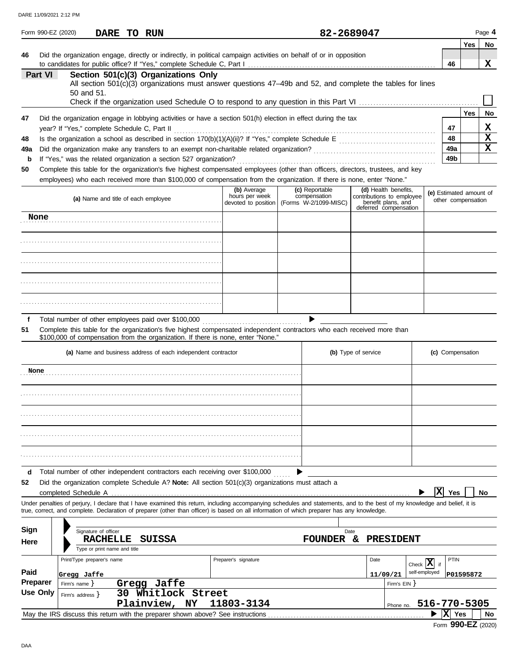|          | DARE 11/09/2021 2:12 PM                                                                                                                                                                        |                      |                              |  |                                                                    |  |                                                                                                                                                                                  |  |                |                                                                                                                                                                            |                         |             |                  |        |  |
|----------|------------------------------------------------------------------------------------------------------------------------------------------------------------------------------------------------|----------------------|------------------------------|--|--------------------------------------------------------------------|--|----------------------------------------------------------------------------------------------------------------------------------------------------------------------------------|--|----------------|----------------------------------------------------------------------------------------------------------------------------------------------------------------------------|-------------------------|-------------|------------------|--------|--|
|          | Form 990-EZ (2020)                                                                                                                                                                             |                      |                              |  | DARE TO RUN                                                        |  |                                                                                                                                                                                  |  |                | 82-2689047                                                                                                                                                                 |                         |             |                  | Page 4 |  |
| 46       |                                                                                                                                                                                                |                      |                              |  |                                                                    |  | Did the organization engage, directly or indirectly, in political campaign activities on behalf of or in opposition                                                              |  |                |                                                                                                                                                                            |                         |             | Yes              | No     |  |
|          |                                                                                                                                                                                                |                      |                              |  |                                                                    |  |                                                                                                                                                                                  |  |                |                                                                                                                                                                            |                         | 46          |                  | x      |  |
|          | Part VI                                                                                                                                                                                        |                      |                              |  | Section 501(c)(3) Organizations Only                               |  |                                                                                                                                                                                  |  |                |                                                                                                                                                                            |                         |             |                  |        |  |
|          |                                                                                                                                                                                                |                      |                              |  |                                                                    |  |                                                                                                                                                                                  |  |                | All section 501(c)(3) organizations must answer questions 47-49b and 52, and complete the tables for lines                                                                 |                         |             |                  |        |  |
|          |                                                                                                                                                                                                |                      | 50 and 51.                   |  |                                                                    |  |                                                                                                                                                                                  |  |                |                                                                                                                                                                            |                         |             |                  |        |  |
|          |                                                                                                                                                                                                |                      |                              |  |                                                                    |  |                                                                                                                                                                                  |  |                |                                                                                                                                                                            |                         |             | Yes              | No     |  |
| 47       |                                                                                                                                                                                                |                      |                              |  |                                                                    |  | Did the organization engage in lobbying activities or have a section 501(h) election in effect during the tax                                                                    |  |                |                                                                                                                                                                            |                         |             |                  |        |  |
|          |                                                                                                                                                                                                |                      |                              |  | year? If "Yes," complete Schedule C, Part II                       |  |                                                                                                                                                                                  |  |                |                                                                                                                                                                            |                         | 47          |                  | X      |  |
| 48       |                                                                                                                                                                                                |                      |                              |  |                                                                    |  |                                                                                                                                                                                  |  |                |                                                                                                                                                                            |                         | 48          |                  | X<br>x |  |
| 49a<br>b |                                                                                                                                                                                                |                      |                              |  | If "Yes," was the related organization a section 527 organization? |  |                                                                                                                                                                                  |  |                |                                                                                                                                                                            |                         | 49a<br>49b  |                  |        |  |
| 50       |                                                                                                                                                                                                |                      |                              |  |                                                                    |  |                                                                                                                                                                                  |  |                | Complete this table for the organization's five highest compensated employees (other than officers, directors, trustees, and key                                           |                         |             |                  |        |  |
|          |                                                                                                                                                                                                |                      |                              |  |                                                                    |  | employees) who each received more than \$100,000 of compensation from the organization. If there is none, enter "None."                                                          |  |                |                                                                                                                                                                            |                         |             |                  |        |  |
|          |                                                                                                                                                                                                |                      |                              |  |                                                                    |  | (b) Average                                                                                                                                                                      |  | (c) Reportable | (d) Health benefits,                                                                                                                                                       |                         |             |                  |        |  |
|          | hours per week<br>compensation<br>contributions to employee<br>(a) Name and title of each employee<br>benefit plans, and<br>devoted to position (Forms W-2/1099-MISC)<br>deferred compensation |                      |                              |  |                                                                    |  | (e) Estimated amount of<br>other compensation                                                                                                                                    |  |                |                                                                                                                                                                            |                         |             |                  |        |  |
|          | None                                                                                                                                                                                           |                      |                              |  |                                                                    |  |                                                                                                                                                                                  |  |                |                                                                                                                                                                            |                         |             |                  |        |  |
|          |                                                                                                                                                                                                |                      |                              |  |                                                                    |  |                                                                                                                                                                                  |  |                |                                                                                                                                                                            |                         |             |                  |        |  |
|          |                                                                                                                                                                                                |                      |                              |  |                                                                    |  |                                                                                                                                                                                  |  |                |                                                                                                                                                                            |                         |             |                  |        |  |
|          |                                                                                                                                                                                                |                      |                              |  |                                                                    |  |                                                                                                                                                                                  |  |                |                                                                                                                                                                            |                         |             |                  |        |  |
|          |                                                                                                                                                                                                |                      |                              |  |                                                                    |  |                                                                                                                                                                                  |  |                |                                                                                                                                                                            |                         |             |                  |        |  |
| f        |                                                                                                                                                                                                |                      |                              |  | Total number of other employees paid over \$100,000                |  |                                                                                                                                                                                  |  |                |                                                                                                                                                                            |                         |             |                  |        |  |
| 51       |                                                                                                                                                                                                |                      |                              |  |                                                                    |  | \$100,000 of compensation from the organization. If there is none, enter "None."                                                                                                 |  |                | Complete this table for the organization's five highest compensated independent contractors who each received more than                                                    |                         |             |                  |        |  |
|          |                                                                                                                                                                                                |                      |                              |  | (a) Name and business address of each independent contractor       |  |                                                                                                                                                                                  |  |                | (b) Type of service                                                                                                                                                        |                         |             | (c) Compensation |        |  |
| None     |                                                                                                                                                                                                |                      |                              |  |                                                                    |  |                                                                                                                                                                                  |  |                |                                                                                                                                                                            |                         |             |                  |        |  |
|          |                                                                                                                                                                                                |                      |                              |  |                                                                    |  |                                                                                                                                                                                  |  |                |                                                                                                                                                                            |                         |             |                  |        |  |
|          |                                                                                                                                                                                                |                      |                              |  |                                                                    |  |                                                                                                                                                                                  |  |                |                                                                                                                                                                            |                         |             |                  |        |  |
|          |                                                                                                                                                                                                |                      |                              |  |                                                                    |  |                                                                                                                                                                                  |  |                |                                                                                                                                                                            |                         |             |                  |        |  |
|          |                                                                                                                                                                                                |                      |                              |  |                                                                    |  |                                                                                                                                                                                  |  |                |                                                                                                                                                                            |                         |             |                  |        |  |
| d<br>52  |                                                                                                                                                                                                |                      |                              |  |                                                                    |  | Total number of other independent contractors each receiving over \$100,000<br>Did the organization complete Schedule A? Note: All section 501(c)(3) organizations must attach a |  |                |                                                                                                                                                                            | x                       |             |                  |        |  |
|          |                                                                                                                                                                                                | completed Schedule A |                              |  |                                                                    |  | true, correct, and complete. Declaration of preparer (other than officer) is based on all information of which preparer has any knowledge.                                       |  |                | Under penalties of perjury, I declare that I have examined this return, including accompanying schedules and statements, and to the best of my knowledge and belief, it is |                         | Yes         |                  | No     |  |
|          |                                                                                                                                                                                                |                      |                              |  |                                                                    |  |                                                                                                                                                                                  |  |                |                                                                                                                                                                            |                         |             |                  |        |  |
| Sign     |                                                                                                                                                                                                |                      | Signature of officer         |  |                                                                    |  |                                                                                                                                                                                  |  |                | Date                                                                                                                                                                       |                         |             |                  |        |  |
| Here     |                                                                                                                                                                                                |                      | <b>RACHELLE</b>              |  | SUISSA                                                             |  |                                                                                                                                                                                  |  | <b>FOUNDER</b> | PRESIDENT<br>&.                                                                                                                                                            |                         |             |                  |        |  |
|          |                                                                                                                                                                                                |                      | Type or print name and title |  |                                                                    |  |                                                                                                                                                                                  |  |                |                                                                                                                                                                            |                         |             |                  |        |  |
|          |                                                                                                                                                                                                |                      | Print/Type preparer's name   |  |                                                                    |  | Preparer's signature                                                                                                                                                             |  |                | Date                                                                                                                                                                       | Check $ \mathbf{X} $ if | <b>PTIN</b> |                  |        |  |
| Paid     |                                                                                                                                                                                                | Gregg Jaffe          |                              |  |                                                                    |  |                                                                                                                                                                                  |  |                | 11/09/21                                                                                                                                                                   | self-employed           |             | P01595872        |        |  |
| Preparer |                                                                                                                                                                                                | Firm's name $\}$     |                              |  | Gregg Jaffe                                                        |  |                                                                                                                                                                                  |  |                | Firm's $EIN$ }                                                                                                                                                             |                         |             |                  |        |  |
|          | Use Only                                                                                                                                                                                       | Firm's address $\}$  |                              |  | 30 Whitlock Street<br>Plainview, NY                                |  | 11803-3134                                                                                                                                                                       |  |                | Phone no.                                                                                                                                                                  | 516-770-5305            |             |                  |        |  |
|          |                                                                                                                                                                                                |                      |                              |  |                                                                    |  | May the IRS discuss this return with the preparer shown above? See instructions <i>constructions</i>                                                                             |  |                |                                                                                                                                                                            |                         | X Yes       |                  | No.    |  |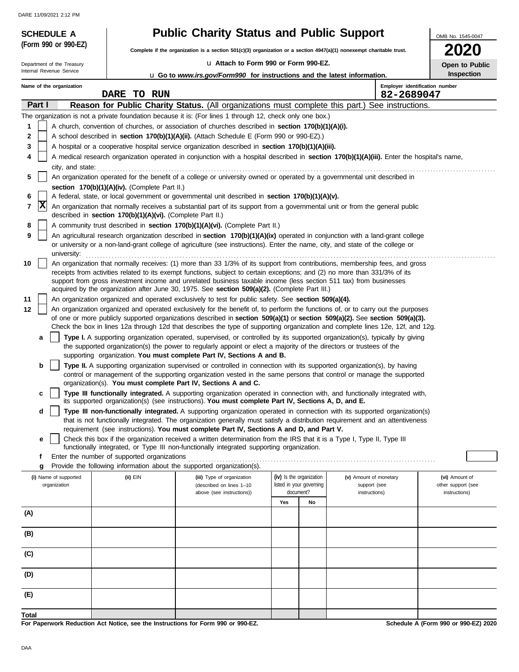| <b>SCHEDULE A</b>                                      |                                                            | <b>Public Charity Status and Public Support</b>                                                                                                                                                                                                                |     |                                       |                               | OMB No. 1545-0047                   |
|--------------------------------------------------------|------------------------------------------------------------|----------------------------------------------------------------------------------------------------------------------------------------------------------------------------------------------------------------------------------------------------------------|-----|---------------------------------------|-------------------------------|-------------------------------------|
| (Form 990 or 990-EZ)                                   |                                                            | Complete if the organization is a section $501(c)(3)$ organization or a section $4947(a)(1)$ nonexempt charitable trust.                                                                                                                                       |     |                                       |                               | 2020                                |
| Department of the Treasury<br>Internal Revenue Service |                                                            | La Attach to Form 990 or Form 990-EZ.                                                                                                                                                                                                                          |     |                                       |                               | Open to Public                      |
|                                                        |                                                            | <b>u</b> Go to www.irs.gov/Form990 for instructions and the latest information.                                                                                                                                                                                |     |                                       |                               | Inspection                          |
| Name of the organization                               | DARE TO RUN                                                |                                                                                                                                                                                                                                                                |     |                                       | 82-2689047                    | Employer identification number      |
| Part I                                                 |                                                            | Reason for Public Charity Status. (All organizations must complete this part.) See instructions.                                                                                                                                                               |     |                                       |                               |                                     |
|                                                        |                                                            | The organization is not a private foundation because it is: (For lines 1 through 12, check only one box.)                                                                                                                                                      |     |                                       |                               |                                     |
| 1                                                      |                                                            | A church, convention of churches, or association of churches described in section 170(b)(1)(A)(i).                                                                                                                                                             |     |                                       |                               |                                     |
| 2                                                      |                                                            | A school described in section 170(b)(1)(A)(ii). (Attach Schedule E (Form 990 or 990-EZ).)                                                                                                                                                                      |     |                                       |                               |                                     |
| 3                                                      |                                                            | A hospital or a cooperative hospital service organization described in section 170(b)(1)(A)(iii).                                                                                                                                                              |     |                                       |                               |                                     |
| 4                                                      |                                                            | A medical research organization operated in conjunction with a hospital described in section 170(b)(1)(A)(iii). Enter the hospital's name,                                                                                                                     |     |                                       |                               |                                     |
| city, and state:<br>5                                  |                                                            | An organization operated for the benefit of a college or university owned or operated by a governmental unit described in                                                                                                                                      |     |                                       |                               |                                     |
|                                                        | section 170(b)(1)(A)(iv). (Complete Part II.)              |                                                                                                                                                                                                                                                                |     |                                       |                               |                                     |
| 6                                                      |                                                            | A federal, state, or local government or governmental unit described in section 170(b)(1)(A)(v).                                                                                                                                                               |     |                                       |                               |                                     |
| X<br>7                                                 |                                                            | An organization that normally receives a substantial part of its support from a governmental unit or from the general public                                                                                                                                   |     |                                       |                               |                                     |
| 8                                                      | described in section 170(b)(1)(A)(vi). (Complete Part II.) | A community trust described in section 170(b)(1)(A)(vi). (Complete Part II.)                                                                                                                                                                                   |     |                                       |                               |                                     |
| 9                                                      |                                                            | An agricultural research organization described in section 170(b)(1)(A)(ix) operated in conjunction with a land-grant college                                                                                                                                  |     |                                       |                               |                                     |
| university:                                            |                                                            | or university or a non-land-grant college of agriculture (see instructions). Enter the name, city, and state of the college or                                                                                                                                 |     |                                       |                               |                                     |
| 10                                                     |                                                            | An organization that normally receives: (1) more than 33 1/3% of its support from contributions, membership fees, and gross                                                                                                                                    |     |                                       |                               |                                     |
|                                                        |                                                            | receipts from activities related to its exempt functions, subject to certain exceptions; and (2) no more than 331/3% of its                                                                                                                                    |     |                                       |                               |                                     |
|                                                        |                                                            | support from gross investment income and unrelated business taxable income (less section 511 tax) from businesses<br>acquired by the organization after June 30, 1975. See section 509(a)(2). (Complete Part III.)                                             |     |                                       |                               |                                     |
| 11                                                     |                                                            | An organization organized and operated exclusively to test for public safety. See section 509(a)(4).                                                                                                                                                           |     |                                       |                               |                                     |
| 12                                                     |                                                            | An organization organized and operated exclusively for the benefit of, to perform the functions of, or to carry out the purposes                                                                                                                               |     |                                       |                               |                                     |
|                                                        |                                                            | of one or more publicly supported organizations described in section 509(a)(1) or section 509(a)(2). See section 509(a)(3).                                                                                                                                    |     |                                       |                               |                                     |
| a                                                      |                                                            | Check the box in lines 12a through 12d that describes the type of supporting organization and complete lines 12e, 12f, and 12g.<br>Type I. A supporting organization operated, supervised, or controlled by its supported organization(s), typically by giving |     |                                       |                               |                                     |
|                                                        |                                                            | the supported organization(s) the power to regularly appoint or elect a majority of the directors or trustees of the                                                                                                                                           |     |                                       |                               |                                     |
|                                                        |                                                            | supporting organization. You must complete Part IV, Sections A and B.                                                                                                                                                                                          |     |                                       |                               |                                     |
| b                                                      |                                                            | Type II. A supporting organization supervised or controlled in connection with its supported organization(s), by having                                                                                                                                        |     |                                       |                               |                                     |
|                                                        |                                                            | control or management of the supporting organization vested in the same persons that control or manage the supported<br>organization(s). You must complete Part IV, Sections A and C.                                                                          |     |                                       |                               |                                     |
|                                                        |                                                            | Type III functionally integrated. A supporting organization operated in connection with, and functionally integrated with,                                                                                                                                     |     |                                       |                               |                                     |
|                                                        |                                                            | its supported organization(s) (see instructions). You must complete Part IV, Sections A, D, and E.                                                                                                                                                             |     |                                       |                               |                                     |
| d                                                      |                                                            | Type III non-functionally integrated. A supporting organization operated in connection with its supported organization(s)<br>that is not functionally integrated. The organization generally must satisfy a distribution requirement and an attentiveness      |     |                                       |                               |                                     |
|                                                        |                                                            | requirement (see instructions). You must complete Part IV, Sections A and D, and Part V.                                                                                                                                                                       |     |                                       |                               |                                     |
| е                                                      |                                                            | Check this box if the organization received a written determination from the IRS that it is a Type I, Type II, Type III                                                                                                                                        |     |                                       |                               |                                     |
| f                                                      | Enter the number of supported organizations                | functionally integrated, or Type III non-functionally integrated supporting organization.                                                                                                                                                                      |     |                                       |                               |                                     |
| g                                                      |                                                            | Provide the following information about the supported organization(s).                                                                                                                                                                                         |     |                                       |                               |                                     |
| (i) Name of supported                                  | (ii) EIN                                                   | (iii) Type of organization                                                                                                                                                                                                                                     |     | (iv) Is the organization              | (v) Amount of monetary        | (vi) Amount of                      |
| organization                                           |                                                            | (described on lines 1-10<br>above (see instructions))                                                                                                                                                                                                          |     | listed in your governing<br>document? | support (see<br>instructions) | other support (see<br>instructions) |
|                                                        |                                                            |                                                                                                                                                                                                                                                                | Yes | No                                    |                               |                                     |
| (A)                                                    |                                                            |                                                                                                                                                                                                                                                                |     |                                       |                               |                                     |
|                                                        |                                                            |                                                                                                                                                                                                                                                                |     |                                       |                               |                                     |
| (B)                                                    |                                                            |                                                                                                                                                                                                                                                                |     |                                       |                               |                                     |
| (C)                                                    |                                                            |                                                                                                                                                                                                                                                                |     |                                       |                               |                                     |
| (D)                                                    |                                                            |                                                                                                                                                                                                                                                                |     |                                       |                               |                                     |
|                                                        |                                                            |                                                                                                                                                                                                                                                                |     |                                       |                               |                                     |
| (E)                                                    |                                                            |                                                                                                                                                                                                                                                                |     |                                       |                               |                                     |
| Total                                                  |                                                            |                                                                                                                                                                                                                                                                |     |                                       |                               |                                     |

**For Paperwork Reduction Act Notice, see the Instructions for Form 990 or 990-EZ.**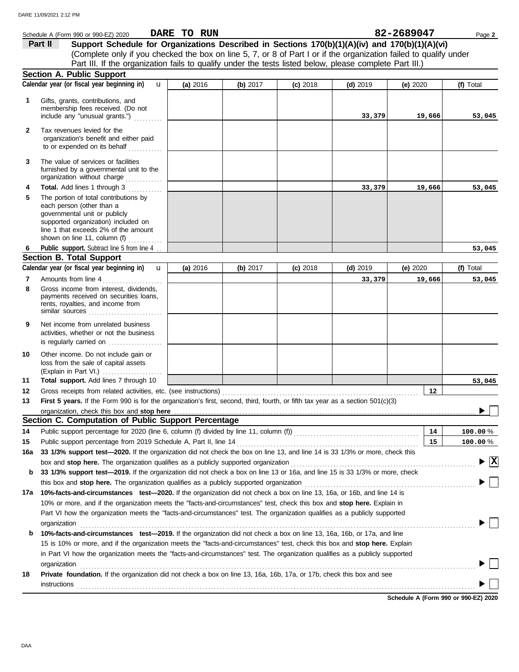|              | Schedule A (Form 990 or 990-EZ) 2020                                                                                                                                                                                                                       | DARE TO RUN |          |            |            | 82-2689047           | Page 2                     |
|--------------|------------------------------------------------------------------------------------------------------------------------------------------------------------------------------------------------------------------------------------------------------------|-------------|----------|------------|------------|----------------------|----------------------------|
|              | Part II<br>Support Schedule for Organizations Described in Sections 170(b)(1)(A)(iv) and 170(b)(1)(A)(vi)                                                                                                                                                  |             |          |            |            |                      |                            |
|              | (Complete only if you checked the box on line 5, 7, or 8 of Part I or if the organization failed to qualify under                                                                                                                                          |             |          |            |            |                      |                            |
|              | Part III. If the organization fails to qualify under the tests listed below, please complete Part III.)                                                                                                                                                    |             |          |            |            |                      |                            |
|              | <b>Section A. Public Support</b>                                                                                                                                                                                                                           |             |          |            |            |                      |                            |
|              | Calendar year (or fiscal year beginning in)<br>$\mathbf{u}$                                                                                                                                                                                                | (a) 2016    | (b) 2017 | $(c)$ 2018 | $(d)$ 2019 | (e) $2020$           | (f) Total                  |
| 1            | Gifts, grants, contributions, and                                                                                                                                                                                                                          |             |          |            |            |                      |                            |
|              | membership fees received. (Do not                                                                                                                                                                                                                          |             |          |            |            |                      |                            |
|              | include any "unusual grants.")                                                                                                                                                                                                                             |             |          |            | 33,379     | 19,666               | 53,045                     |
| $\mathbf{2}$ | Tax revenues levied for the                                                                                                                                                                                                                                |             |          |            |            |                      |                            |
|              | organization's benefit and either paid<br>to or expended on its behalf                                                                                                                                                                                     |             |          |            |            |                      |                            |
|              |                                                                                                                                                                                                                                                            |             |          |            |            |                      |                            |
| 3            | The value of services or facilities<br>furnished by a governmental unit to the                                                                                                                                                                             |             |          |            |            |                      |                            |
|              | organization without charge                                                                                                                                                                                                                                |             |          |            |            |                      |                            |
| 4            | Total. Add lines 1 through 3                                                                                                                                                                                                                               |             |          |            | 33,379     | 19,666               | 53,045                     |
| 5            | The portion of total contributions by                                                                                                                                                                                                                      |             |          |            |            |                      |                            |
|              | each person (other than a<br>governmental unit or publicly                                                                                                                                                                                                 |             |          |            |            |                      |                            |
|              | supported organization) included on                                                                                                                                                                                                                        |             |          |            |            |                      |                            |
|              | line 1 that exceeds 2% of the amount                                                                                                                                                                                                                       |             |          |            |            |                      |                            |
|              | shown on line 11, column (f) $\ldots$                                                                                                                                                                                                                      |             |          |            |            |                      |                            |
| 6            | Public support. Subtract line 5 from line 4.<br><b>Section B. Total Support</b>                                                                                                                                                                            |             |          |            |            |                      | 53,045                     |
|              | Calendar year (or fiscal year beginning in)<br>$\mathbf{u}$                                                                                                                                                                                                | (a) 2016    | (b) 2017 | $(c)$ 2018 | $(d)$ 2019 |                      | (f) Total                  |
| 7            | Amounts from line 4                                                                                                                                                                                                                                        |             |          |            | 33,379     | (e) $2020$<br>19,666 | 53,045                     |
| 8            | Gross income from interest, dividends,                                                                                                                                                                                                                     |             |          |            |            |                      |                            |
|              | payments received on securities loans,                                                                                                                                                                                                                     |             |          |            |            |                      |                            |
|              | rents, royalties, and income from<br>similar sources                                                                                                                                                                                                       |             |          |            |            |                      |                            |
|              |                                                                                                                                                                                                                                                            |             |          |            |            |                      |                            |
| 9            | Net income from unrelated business<br>activities, whether or not the business                                                                                                                                                                              |             |          |            |            |                      |                            |
|              | is regularly carried on                                                                                                                                                                                                                                    |             |          |            |            |                      |                            |
| 10           | Other income. Do not include gain or                                                                                                                                                                                                                       |             |          |            |            |                      |                            |
|              | loss from the sale of capital assets                                                                                                                                                                                                                       |             |          |            |            |                      |                            |
|              | (Explain in Part VI.)                                                                                                                                                                                                                                      |             |          |            |            |                      |                            |
| 11           | Total support. Add lines 7 through 10                                                                                                                                                                                                                      |             |          |            |            |                      | 53,045                     |
| 12           |                                                                                                                                                                                                                                                            |             |          |            |            | 12                   |                            |
| 13           | First 5 years. If the Form 990 is for the organization's first, second, third, fourth, or fifth tax year as a section 501(c)(3)<br>organization, check this box and stop here                                                                              |             |          |            |            |                      |                            |
|              | Section C. Computation of Public Support Percentage                                                                                                                                                                                                        |             |          |            |            |                      |                            |
| 14           |                                                                                                                                                                                                                                                            |             |          |            |            | 14                   | 100.00%                    |
| 15           | Public support percentage from 2019 Schedule A, Part II, line 14                                                                                                                                                                                           |             |          |            |            | 15                   | $100.00\,\%$               |
| 16a          | 33 1/3% support test-2020. If the organization did not check the box on line 13, and line 14 is 33 1/3% or more, check this                                                                                                                                |             |          |            |            |                      |                            |
|              | box and stop here. The organization qualifies as a publicly supported organization                                                                                                                                                                         |             |          |            |            |                      | $\triangleright$ $\vert$ X |
| b            | 33 1/3% support test-2019. If the organization did not check a box on line 13 or 16a, and line 15 is 33 1/3% or more, check                                                                                                                                |             |          |            |            |                      |                            |
|              | this box and stop here. The organization qualifies as a publicly supported organization                                                                                                                                                                    |             |          |            |            |                      |                            |
| 17а          | 10%-facts-and-circumstances test-2020. If the organization did not check a box on line 13, 16a, or 16b, and line 14 is                                                                                                                                     |             |          |            |            |                      |                            |
|              | 10% or more, and if the organization meets the "facts-and-circumstances" test, check this box and stop here. Explain in                                                                                                                                    |             |          |            |            |                      |                            |
|              | Part VI how the organization meets the "facts-and-circumstances" test. The organization qualifies as a publicly supported                                                                                                                                  |             |          |            |            |                      |                            |
|              | organization                                                                                                                                                                                                                                               |             |          |            |            |                      |                            |
| b            | 10%-facts-and-circumstances test-2019. If the organization did not check a box on line 13, 16a, 16b, or 17a, and line                                                                                                                                      |             |          |            |            |                      |                            |
|              | 15 is 10% or more, and if the organization meets the "facts-and-circumstances" test, check this box and stop here. Explain<br>in Part VI how the organization meets the "facts-and-circumstances" test. The organization qualifies as a publicly supported |             |          |            |            |                      |                            |
|              | organization                                                                                                                                                                                                                                               |             |          |            |            |                      |                            |
| 18           | Private foundation. If the organization did not check a box on line 13, 16a, 16b, 17a, or 17b, check this box and see                                                                                                                                      |             |          |            |            |                      |                            |
|              | instructions                                                                                                                                                                                                                                               |             |          |            |            |                      |                            |
|              |                                                                                                                                                                                                                                                            |             |          |            |            |                      |                            |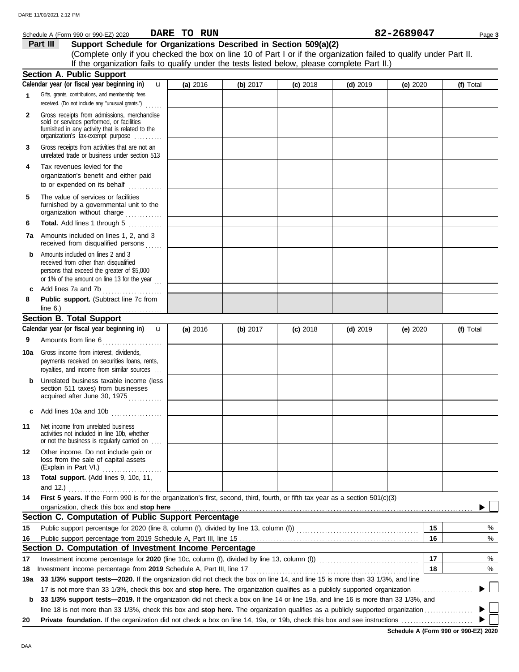|     | Schedule A (Form 990 or 990-EZ) 2020                                                                                                                                              | <b>DARE TO RUN</b> |            |            |            | 82-2689047 | Page 3    |
|-----|-----------------------------------------------------------------------------------------------------------------------------------------------------------------------------------|--------------------|------------|------------|------------|------------|-----------|
|     | Support Schedule for Organizations Described in Section 509(a)(2)<br>Part III                                                                                                     |                    |            |            |            |            |           |
|     | (Complete only if you checked the box on line 10 of Part I or if the organization failed to qualify under Part II.                                                                |                    |            |            |            |            |           |
|     | If the organization fails to qualify under the tests listed below, please complete Part II.)                                                                                      |                    |            |            |            |            |           |
|     | <b>Section A. Public Support</b>                                                                                                                                                  |                    |            |            |            |            |           |
|     | Calendar year (or fiscal year beginning in)<br>u                                                                                                                                  | (a) 2016           | (b) $2017$ | $(c)$ 2018 | $(d)$ 2019 | (e) $2020$ | (f) Total |
| 1   | Gifts, grants, contributions, and membership fees<br>received. (Do not include any "unusual grants.")                                                                             |                    |            |            |            |            |           |
| 2   | Gross receipts from admissions, merchandise<br>sold or services performed, or facilities<br>furnished in any activity that is related to the<br>organization's tax-exempt purpose |                    |            |            |            |            |           |
| 3   | Gross receipts from activities that are not an<br>unrelated trade or business under section 513                                                                                   |                    |            |            |            |            |           |
| 4   | Tax revenues levied for the<br>organization's benefit and either paid<br>to or expended on its behalf                                                                             |                    |            |            |            |            |           |
| 5   | The value of services or facilities<br>furnished by a governmental unit to the<br>organization without charge                                                                     |                    |            |            |            |            |           |
| 6   | Total. Add lines 1 through 5                                                                                                                                                      |                    |            |            |            |            |           |
|     | <b>7a</b> Amounts included on lines 1, 2, and 3<br>received from disqualified persons                                                                                             |                    |            |            |            |            |           |
| b   | Amounts included on lines 2 and 3<br>received from other than disqualified<br>persons that exceed the greater of \$5,000<br>or 1% of the amount on line 13 for the year $\ldots$  |                    |            |            |            |            |           |
| c   | Add lines 7a and 7b                                                                                                                                                               |                    |            |            |            |            |           |
| 8   | Public support. (Subtract line 7c from<br>line $6$ .)                                                                                                                             |                    |            |            |            |            |           |
|     | <b>Section B. Total Support</b>                                                                                                                                                   |                    |            |            |            |            |           |
|     | Calendar year (or fiscal year beginning in)<br>$\mathbf{u}$                                                                                                                       | (a) 2016           | (b) 2017   | $(c)$ 2018 | $(d)$ 2019 | (e) $2020$ | (f) Total |
| 9   | Amounts from line 6                                                                                                                                                               |                    |            |            |            |            |           |
| 10a | Gross income from interest, dividends,<br>payments received on securities loans, rents,<br>royalties, and income from similar sources                                             |                    |            |            |            |            |           |
| b   | Unrelated business taxable income (less<br>section 511 taxes) from businesses<br>acquired after June 30, 1975                                                                     |                    |            |            |            |            |           |
| c   | Add lines 10a and 10b                                                                                                                                                             |                    |            |            |            |            |           |
| 11  | Net income from unrelated business<br>activities not included in line 10b, whether<br>or not the business is regularly carried on                                                 |                    |            |            |            |            |           |
| 12  | Other income. Do not include gain or<br>loss from the sale of capital assets                                                                                                      |                    |            |            |            |            |           |
| 13  | Total support. (Add lines 9, 10c, 11,                                                                                                                                             |                    |            |            |            |            |           |
| 14  | and $12.$ )<br>First 5 years. If the Form 990 is for the organization's first, second, third, fourth, or fifth tax year as a section 501(c)(3)                                    |                    |            |            |            |            |           |
|     | organization, check this box and stop here                                                                                                                                        |                    |            |            |            |            |           |
|     | Section C. Computation of Public Support Percentage                                                                                                                               |                    |            |            |            |            |           |
| 15  |                                                                                                                                                                                   |                    |            |            |            | 15         | %         |
| 16  |                                                                                                                                                                                   |                    |            |            |            | 16         | %         |
|     | Section D. Computation of Investment Income Percentage                                                                                                                            |                    |            |            |            |            |           |
| 17  | Investment income percentage for 2020 (line 10c, column (f), divided by line 13, column (f)) [[[[[[[[[[[[[[[[[                                                                    |                    |            |            |            | 17         | %         |
| 18  |                                                                                                                                                                                   |                    |            |            |            | 18         | %         |
| 19a | 33 1/3% support tests-2020. If the organization did not check the box on line 14, and line 15 is more than 33 1/3%, and line                                                      |                    |            |            |            |            |           |
|     |                                                                                                                                                                                   |                    |            |            |            |            |           |
| b   | 33 1/3% support tests-2019. If the organization did not check a box on line 14 or line 19a, and line 16 is more than 33 1/3%, and                                                 |                    |            |            |            |            |           |
|     |                                                                                                                                                                                   |                    |            |            |            |            |           |
| 20  |                                                                                                                                                                                   |                    |            |            |            |            |           |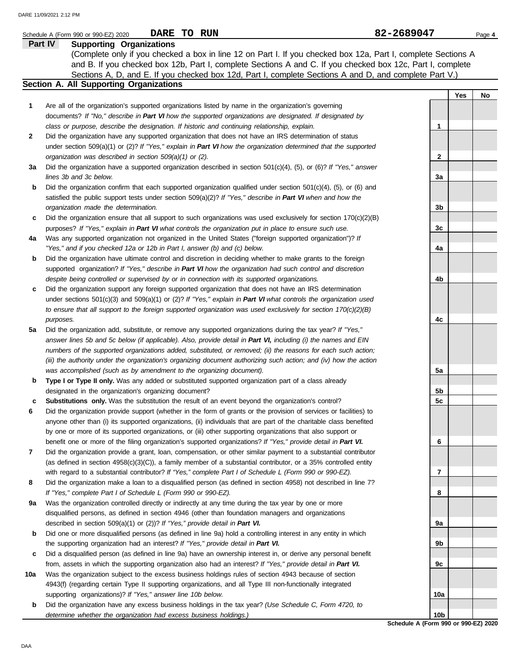|     | DARE TO RUN<br>Schedule A (Form 990 or 990-EZ) 2020                                                                                                                                                                                                                       | 82-2689047      |     | Page 4 |
|-----|---------------------------------------------------------------------------------------------------------------------------------------------------------------------------------------------------------------------------------------------------------------------------|-----------------|-----|--------|
|     | <b>Supporting Organizations</b><br>Part IV<br>(Complete only if you checked a box in line 12 on Part I. If you checked box 12a, Part I, complete Sections A<br>and B. If you checked box 12b, Part I, complete Sections A and C. If you checked box 12c, Part I, complete |                 |     |        |
|     | Sections A, D, and E. If you checked box 12d, Part I, complete Sections A and D, and complete Part V.)<br><b>Section A. All Supporting Organizations</b>                                                                                                                  |                 |     |        |
|     |                                                                                                                                                                                                                                                                           |                 | Yes | No     |
| 1   | Are all of the organization's supported organizations listed by name in the organization's governing                                                                                                                                                                      |                 |     |        |
|     | documents? If "No," describe in Part VI how the supported organizations are designated. If designated by                                                                                                                                                                  |                 |     |        |
|     | class or purpose, describe the designation. If historic and continuing relationship, explain.                                                                                                                                                                             | 1               |     |        |
| 2   | Did the organization have any supported organization that does not have an IRS determination of status                                                                                                                                                                    |                 |     |        |
|     | under section 509(a)(1) or (2)? If "Yes," explain in Part VI how the organization determined that the supported                                                                                                                                                           |                 |     |        |
|     | organization was described in section 509(a)(1) or (2).                                                                                                                                                                                                                   | 2               |     |        |
| За  | Did the organization have a supported organization described in section $501(c)(4)$ , $(5)$ , or $(6)?$ If "Yes," answer                                                                                                                                                  |                 |     |        |
|     | lines 3b and 3c below.                                                                                                                                                                                                                                                    | 3a              |     |        |
| b   | Did the organization confirm that each supported organization qualified under section $501(c)(4)$ , $(5)$ , or $(6)$ and                                                                                                                                                  |                 |     |        |
|     | satisfied the public support tests under section 509(a)(2)? If "Yes," describe in Part VI when and how the                                                                                                                                                                |                 |     |        |
|     | organization made the determination.                                                                                                                                                                                                                                      | 3b              |     |        |
| c   | Did the organization ensure that all support to such organizations was used exclusively for section $170(c)(2)(B)$                                                                                                                                                        |                 |     |        |
|     | purposes? If "Yes," explain in Part VI what controls the organization put in place to ensure such use.                                                                                                                                                                    | 3c              |     |        |
| 4a  | Was any supported organization not organized in the United States ("foreign supported organization")? If                                                                                                                                                                  |                 |     |        |
|     | "Yes," and if you checked 12a or 12b in Part I, answer (b) and (c) below.                                                                                                                                                                                                 | 4a              |     |        |
| b   | Did the organization have ultimate control and discretion in deciding whether to make grants to the foreign                                                                                                                                                               |                 |     |        |
|     | supported organization? If "Yes," describe in Part VI how the organization had such control and discretion                                                                                                                                                                |                 |     |        |
| c   | despite being controlled or supervised by or in connection with its supported organizations.<br>Did the organization support any foreign supported organization that does not have an IRS determination                                                                   | 4b              |     |        |
|     | under sections $501(c)(3)$ and $509(a)(1)$ or (2)? If "Yes," explain in Part VI what controls the organization used                                                                                                                                                       |                 |     |        |
|     | to ensure that all support to the foreign supported organization was used exclusively for section $170(c)(2)(B)$                                                                                                                                                          |                 |     |        |
|     | purposes.                                                                                                                                                                                                                                                                 | 4c              |     |        |
| 5a  | Did the organization add, substitute, or remove any supported organizations during the tax year? If "Yes,"                                                                                                                                                                |                 |     |        |
|     | answer lines 5b and 5c below (if applicable). Also, provide detail in Part VI, including (i) the names and EIN                                                                                                                                                            |                 |     |        |
|     | numbers of the supported organizations added, substituted, or removed; (ii) the reasons for each such action;                                                                                                                                                             |                 |     |        |
|     | (iii) the authority under the organization's organizing document authorizing such action; and (iv) how the action                                                                                                                                                         |                 |     |        |
|     | was accomplished (such as by amendment to the organizing document).                                                                                                                                                                                                       | 5a              |     |        |
| b   | Type I or Type II only. Was any added or substituted supported organization part of a class already                                                                                                                                                                       |                 |     |        |
|     | designated in the organization's organizing document?                                                                                                                                                                                                                     | 5b              |     |        |
|     | <b>Substitutions only.</b> Was the substitution the result of an event beyond the organization's control?                                                                                                                                                                 | 5c              |     |        |
| 6   | Did the organization provide support (whether in the form of grants or the provision of services or facilities) to                                                                                                                                                        |                 |     |        |
|     | anyone other than (i) its supported organizations, (ii) individuals that are part of the charitable class benefited                                                                                                                                                       |                 |     |        |
|     | by one or more of its supported organizations, or (iii) other supporting organizations that also support or                                                                                                                                                               |                 |     |        |
|     | benefit one or more of the filing organization's supported organizations? If "Yes," provide detail in Part VI.                                                                                                                                                            | 6               |     |        |
| 7   | Did the organization provide a grant, loan, compensation, or other similar payment to a substantial contributor                                                                                                                                                           |                 |     |        |
|     | (as defined in section $4958(c)(3)(C)$ ), a family member of a substantial contributor, or a 35% controlled entity<br>with regard to a substantial contributor? If "Yes," complete Part I of Schedule L (Form 990 or 990-EZ).                                             | 7               |     |        |
| 8   | Did the organization make a loan to a disqualified person (as defined in section 4958) not described in line 7?                                                                                                                                                           |                 |     |        |
|     | If "Yes," complete Part I of Schedule L (Form 990 or 990-EZ).                                                                                                                                                                                                             | 8               |     |        |
| 9а  | Was the organization controlled directly or indirectly at any time during the tax year by one or more                                                                                                                                                                     |                 |     |        |
|     | disqualified persons, as defined in section 4946 (other than foundation managers and organizations                                                                                                                                                                        |                 |     |        |
|     | described in section 509(a)(1) or (2))? If "Yes," provide detail in Part VI.                                                                                                                                                                                              | 9а              |     |        |
| b   | Did one or more disqualified persons (as defined in line 9a) hold a controlling interest in any entity in which                                                                                                                                                           |                 |     |        |
|     | the supporting organization had an interest? If "Yes," provide detail in Part VI.                                                                                                                                                                                         | 9b              |     |        |
| c   | Did a disqualified person (as defined in line 9a) have an ownership interest in, or derive any personal benefit                                                                                                                                                           |                 |     |        |
|     | from, assets in which the supporting organization also had an interest? If "Yes," provide detail in Part VI.                                                                                                                                                              | 9с              |     |        |
| 10a | Was the organization subject to the excess business holdings rules of section 4943 because of section                                                                                                                                                                     |                 |     |        |
|     | 4943(f) (regarding certain Type II supporting organizations, and all Type III non-functionally integrated                                                                                                                                                                 |                 |     |        |
|     | supporting organizations)? If "Yes," answer line 10b below.                                                                                                                                                                                                               | 10a             |     |        |
| b   | Did the organization have any excess business holdings in the tax year? (Use Schedule C, Form 4720, to                                                                                                                                                                    |                 |     |        |
|     | determine whether the organization had excess business holdings.)                                                                                                                                                                                                         | 10 <sub>b</sub> |     |        |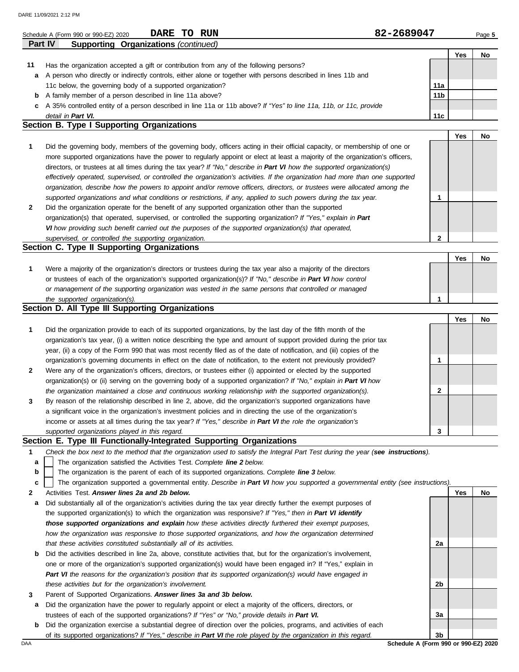|    | RUN<br>DARE TO<br>Schedule A (Form 990 or 990-EZ) 2020                                                               | 82-2689047      |     | Page 5 |
|----|----------------------------------------------------------------------------------------------------------------------|-----------------|-----|--------|
|    | Supporting Organizations (continued)<br>Part IV                                                                      |                 |     |        |
|    |                                                                                                                      |                 | Yes | No     |
| 11 | Has the organization accepted a gift or contribution from any of the following persons?                              |                 |     |        |
|    | a A person who directly or indirectly controls, either alone or together with persons described in lines 11b and     |                 |     |        |
|    | 11c below, the governing body of a supported organization?                                                           | 11a             |     |        |
|    | <b>b</b> A family member of a person described in line 11a above?                                                    | 11 <sub>b</sub> |     |        |
|    | c A 35% controlled entity of a person described in line 11a or 11b above? If "Yes" to line 11a, 11b, or 11c, provide |                 |     |        |
|    | detail in Part VI.                                                                                                   | 11c             |     |        |
|    | Section B Type I Supporting Organizations                                                                            |                 |     |        |

#### **Section B. Type I Supporting Organizations**

**2 1** *supported organizations and what conditions or restrictions, if any, applied to such powers during the tax year. organization, describe how the powers to appoint and/or remove officers, directors, or trustees were allocated among the effectively operated, supervised, or controlled the organization's activities. If the organization had more than one supported* directors, or trustees at all times during the tax year? *If "No," describe in Part VI how the supported organization(s)* more supported organizations have the power to regularly appoint or elect at least a majority of the organization's officers, Did the governing body, members of the governing body, officers acting in their official capacity, or membership of one or Did the organization operate for the benefit of any supported organization other than the supported organization(s) that operated, supervised, or controlled the supporting organization? *If "Yes," explain in Part*  **1 Yes No**

*VI how providing such benefit carried out the purposes of the supported organization(s) that operated,* 

#### **Section C. Type II Supporting Organizations** Were a majority of the organization's directors or trustees during the tax year also a majority of the directors or trustees of each of the organization's supported organization(s)? *If "No," describe in Part VI how control* **1** *or management of the supporting organization was vested in the same persons that controlled or managed the supported organization(s).* **Yes No 1**

### **Section D. All Type III Supporting Organizations**

*supervised, or controlled the supporting organization.*

|              |                                                                                                                        |   | Yes | No |
|--------------|------------------------------------------------------------------------------------------------------------------------|---|-----|----|
| 1            | Did the organization provide to each of its supported organizations, by the last day of the fifth month of the         |   |     |    |
|              | organization's tax year, (i) a written notice describing the type and amount of support provided during the prior tax  |   |     |    |
|              | year, (ii) a copy of the Form 990 that was most recently filed as of the date of notification, and (iii) copies of the |   |     |    |
|              | organization's governing documents in effect on the date of notification, to the extent not previously provided?       |   |     |    |
| $\mathbf{2}$ | Were any of the organization's officers, directors, or trustees either (i) appointed or elected by the supported       |   |     |    |
|              | organization(s) or (ii) serving on the governing body of a supported organization? If "No," explain in Part VI how     |   |     |    |
|              | the organization maintained a close and continuous working relationship with the supported organization(s).            | 2 |     |    |
| $\mathbf{3}$ | By reason of the relationship described in line 2, above, did the organization's supported organizations have          |   |     |    |
|              | a significant voice in the organization's investment policies and in directing the use of the organization's           |   |     |    |
|              | income or assets at all times during the tax year? If "Yes," describe in Part VI the role the organization's           |   |     |    |
|              | supported organizations played in this regard.                                                                         | 3 |     |    |

#### **Section E. Type III Functionally-Integrated Supporting Organizations**

- **1** *Check the box next to the method that the organization used to satisfy the Integral Part Test during the year (see instructions).*
	- The organization satisfied the Activities Test. *Complete line 2 below.* **a**
	- The organization is the parent of each of its supported organizations. *Complete line 3 below.* **b**

The organization supported a governmental entity. *Describe in Part VI how you supported a governmental entity (see instructions).* **c**

- **2** Activities Test. *Answer lines 2a and 2b below.*
- **a** Did substantially all of the organization's activities during the tax year directly further the exempt purposes of the supported organization(s) to which the organization was responsive? *If "Yes," then in Part VI identify those supported organizations and explain how these activities directly furthered their exempt purposes,*  how the organization was responsive to those supported organizations, and how the organization determined *that these activities constituted substantially all of its activities.*
- **b** Did the activities described in line 2a, above, constitute activities that, but for the organization's involvement, one or more of the organization's supported organization(s) would have been engaged in? If "Yes," explain in *Part VI the reasons for the organization's position that its supported organization(s) would have engaged in these activities but for the organization's involvement.*
- **3** Parent of Supported Organizations. *Answer lines 3a and 3b below.*
- **a** Did the organization have the power to regularly appoint or elect a majority of the officers, directors, or trustees of each of the supported organizations? *If "Yes" or "No," provide details in Part VI.*
- DAA **Schedule A (Form 990 or 990-EZ) 2020 b** Did the organization exercise a substantial degree of direction over the policies, programs, and activities of each of its supported organizations? *If "Yes," describe in Part VI the role played by the organization in this regard.*

**Yes No 2a 2b 3a 3b**

**2**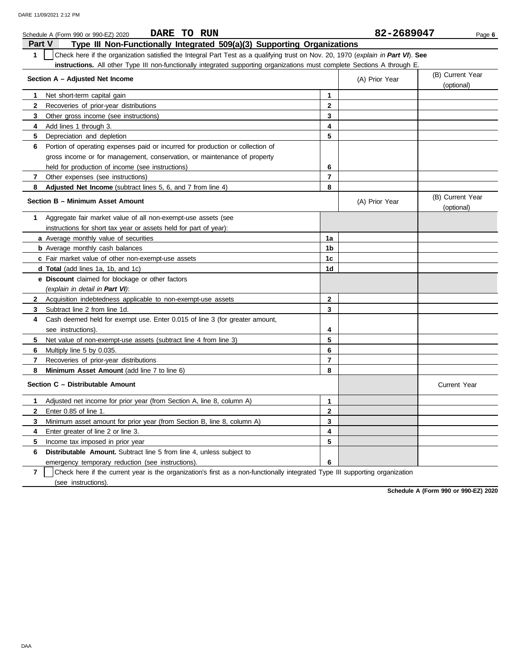| DARE TO RUN<br>Schedule A (Form 990 or 990-EZ) 2020                                                                                              |                         | 82-2689047     | Page 6                         |
|--------------------------------------------------------------------------------------------------------------------------------------------------|-------------------------|----------------|--------------------------------|
| Type III Non-Functionally Integrated 509(a)(3) Supporting Organizations<br>Part V                                                                |                         |                |                                |
| $\mathbf{1}$<br>Check here if the organization satisfied the Integral Part Test as a qualifying trust on Nov. 20, 1970 (explain in Part VI). See |                         |                |                                |
| <b>instructions.</b> All other Type III non-functionally integrated supporting organizations must complete Sections A through E.                 |                         |                |                                |
| Section A – Adjusted Net Income                                                                                                                  |                         | (A) Prior Year | (B) Current Year<br>(optional) |
| 1<br>Net short-term capital gain                                                                                                                 | $\mathbf{1}$            |                |                                |
| $\mathbf{2}$<br>Recoveries of prior-year distributions                                                                                           | $\mathbf{2}$            |                |                                |
| 3<br>Other gross income (see instructions)                                                                                                       | 3                       |                |                                |
| Add lines 1 through 3.<br>4                                                                                                                      | $\overline{\mathbf{4}}$ |                |                                |
| Depreciation and depletion<br>5                                                                                                                  | 5                       |                |                                |
| Portion of operating expenses paid or incurred for production or collection of<br>6                                                              |                         |                |                                |
| gross income or for management, conservation, or maintenance of property                                                                         |                         |                |                                |
| held for production of income (see instructions)                                                                                                 | 6                       |                |                                |
| 7<br>Other expenses (see instructions)                                                                                                           | $\overline{7}$          |                |                                |
| Adjusted Net Income (subtract lines 5, 6, and 7 from line 4)<br>8                                                                                | 8                       |                |                                |
| Section B - Minimum Asset Amount                                                                                                                 |                         | (A) Prior Year | (B) Current Year<br>(optional) |
| Aggregate fair market value of all non-exempt-use assets (see<br>1                                                                               |                         |                |                                |
| instructions for short tax year or assets held for part of year):                                                                                |                         |                |                                |
| <b>a</b> Average monthly value of securities                                                                                                     | 1a                      |                |                                |
| <b>b</b> Average monthly cash balances                                                                                                           | 1 <sub>b</sub>          |                |                                |
| c Fair market value of other non-exempt-use assets                                                                                               | 1 <sub>c</sub>          |                |                                |
| <b>d Total</b> (add lines 1a, 1b, and 1c)                                                                                                        | 1d                      |                |                                |
| e Discount claimed for blockage or other factors                                                                                                 |                         |                |                                |
| (explain in detail in Part VI):                                                                                                                  |                         |                |                                |
| $\mathbf{2}$<br>Acquisition indebtedness applicable to non-exempt-use assets                                                                     | $\mathbf{2}$            |                |                                |
| Subtract line 2 from line 1d.<br>3                                                                                                               | 3                       |                |                                |
| Cash deemed held for exempt use. Enter 0.015 of line 3 (for greater amount,<br>4                                                                 |                         |                |                                |
| see instructions).                                                                                                                               | 4                       |                |                                |
| 5<br>Net value of non-exempt-use assets (subtract line 4 from line 3)                                                                            | 5                       |                |                                |
| 6<br>Multiply line 5 by 0.035.                                                                                                                   | 6                       |                |                                |
| $\overline{7}$<br>Recoveries of prior-year distributions                                                                                         | $\overline{7}$          |                |                                |
| 8<br><b>Minimum Asset Amount</b> (add line 7 to line 6)                                                                                          | 8                       |                |                                |
| Section C - Distributable Amount                                                                                                                 |                         |                | <b>Current Year</b>            |
| 1<br>Adjusted net income for prior year (from Section A, line 8, column A)                                                                       | $\mathbf{1}$            |                |                                |
| $\mathbf{2}$<br>Enter 0.85 of line 1.                                                                                                            | $\mathbf{2}$            |                |                                |
| 3<br>Minimum asset amount for prior year (from Section B, line 8, column A)                                                                      | 3                       |                |                                |
| 4<br>Enter greater of line 2 or line 3.                                                                                                          | $\overline{\mathbf{4}}$ |                |                                |
| Income tax imposed in prior year<br>5                                                                                                            | 5                       |                |                                |
| Distributable Amount. Subtract line 5 from line 4, unless subject to<br>6                                                                        |                         |                |                                |
| emergency temporary reduction (see instructions).                                                                                                | 6                       |                |                                |

**7** (see instructions). Check here if the current year is the organization's first as a non-functionally integrated Type III supporting organization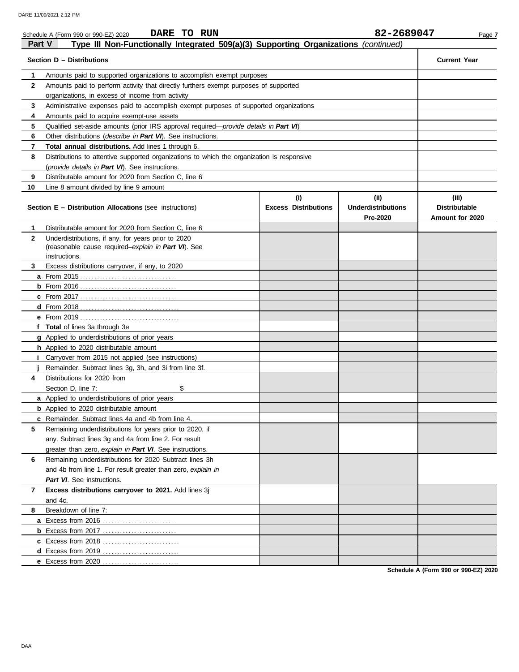|                           | DARE TO RUN<br>Schedule A (Form 990 or 990-EZ) 2020                                                                   |                                    | 82-2689047                                     | Page 7                                           |  |  |  |
|---------------------------|-----------------------------------------------------------------------------------------------------------------------|------------------------------------|------------------------------------------------|--------------------------------------------------|--|--|--|
| Part V                    | Type III Non-Functionally Integrated 509(a)(3) Supporting Organizations (continued)                                   |                                    |                                                |                                                  |  |  |  |
| Section D - Distributions | <b>Current Year</b>                                                                                                   |                                    |                                                |                                                  |  |  |  |
| 1                         | Amounts paid to supported organizations to accomplish exempt purposes                                                 |                                    |                                                |                                                  |  |  |  |
| $\mathbf{2}$              | Amounts paid to perform activity that directly furthers exempt purposes of supported                                  |                                    |                                                |                                                  |  |  |  |
|                           | organizations, in excess of income from activity                                                                      |                                    |                                                |                                                  |  |  |  |
| 3                         | Administrative expenses paid to accomplish exempt purposes of supported organizations                                 |                                    |                                                |                                                  |  |  |  |
| 4                         | Amounts paid to acquire exempt-use assets                                                                             |                                    |                                                |                                                  |  |  |  |
| 5                         | Qualified set-aside amounts (prior IRS approval required— <i>provide details in Part VI</i> )                         |                                    |                                                |                                                  |  |  |  |
| 6                         | Other distributions (describe in Part VI). See instructions.                                                          |                                    |                                                |                                                  |  |  |  |
| 7                         | <b>Total annual distributions.</b> Add lines 1 through 6.                                                             |                                    |                                                |                                                  |  |  |  |
| 8                         | Distributions to attentive supported organizations to which the organization is responsive                            |                                    |                                                |                                                  |  |  |  |
|                           | (provide details in Part VI). See instructions.                                                                       |                                    |                                                |                                                  |  |  |  |
| 9                         | Distributable amount for 2020 from Section C, line 6                                                                  |                                    |                                                |                                                  |  |  |  |
| 10                        | Line 8 amount divided by line 9 amount                                                                                |                                    |                                                |                                                  |  |  |  |
|                           | <b>Section E - Distribution Allocations (see instructions)</b>                                                        | (i)<br><b>Excess Distributions</b> | (iii)<br><b>Underdistributions</b><br>Pre-2020 | (iii)<br><b>Distributable</b><br>Amount for 2020 |  |  |  |
| 1                         | Distributable amount for 2020 from Section C, line 6                                                                  |                                    |                                                |                                                  |  |  |  |
| $\mathbf{2}$              | Underdistributions, if any, for years prior to 2020                                                                   |                                    |                                                |                                                  |  |  |  |
|                           | (reasonable cause required-explain in Part VI). See                                                                   |                                    |                                                |                                                  |  |  |  |
|                           | instructions.                                                                                                         |                                    |                                                |                                                  |  |  |  |
| 3                         | Excess distributions carryover, if any, to 2020                                                                       |                                    |                                                |                                                  |  |  |  |
|                           |                                                                                                                       |                                    |                                                |                                                  |  |  |  |
|                           |                                                                                                                       |                                    |                                                |                                                  |  |  |  |
|                           |                                                                                                                       |                                    |                                                |                                                  |  |  |  |
|                           |                                                                                                                       |                                    |                                                |                                                  |  |  |  |
|                           |                                                                                                                       |                                    |                                                |                                                  |  |  |  |
|                           | f Total of lines 3a through 3e                                                                                        |                                    |                                                |                                                  |  |  |  |
|                           | g Applied to underdistributions of prior years                                                                        |                                    |                                                |                                                  |  |  |  |
|                           | h Applied to 2020 distributable amount                                                                                |                                    |                                                |                                                  |  |  |  |
|                           | <i>i</i> Carryover from 2015 not applied (see instructions)                                                           |                                    |                                                |                                                  |  |  |  |
|                           | Remainder. Subtract lines 3g, 3h, and 3i from line 3f.                                                                |                                    |                                                |                                                  |  |  |  |
| 4                         | Distributions for 2020 from                                                                                           |                                    |                                                |                                                  |  |  |  |
|                           | Section D, line 7:<br>\$                                                                                              |                                    |                                                |                                                  |  |  |  |
|                           | a Applied to underdistributions of prior years                                                                        |                                    |                                                |                                                  |  |  |  |
|                           | <b>b</b> Applied to 2020 distributable amount                                                                         |                                    |                                                |                                                  |  |  |  |
|                           | <b>c</b> Remainder. Subtract lines 4a and 4b from line 4.<br>Remaining underdistributions for years prior to 2020, if |                                    |                                                |                                                  |  |  |  |
| 5                         |                                                                                                                       |                                    |                                                |                                                  |  |  |  |
|                           | any. Subtract lines 3g and 4a from line 2. For result                                                                 |                                    |                                                |                                                  |  |  |  |
|                           | greater than zero, explain in Part VI. See instructions.                                                              |                                    |                                                |                                                  |  |  |  |
| 6                         | Remaining underdistributions for 2020 Subtract lines 3h                                                               |                                    |                                                |                                                  |  |  |  |
|                           | and 4b from line 1. For result greater than zero, explain in                                                          |                                    |                                                |                                                  |  |  |  |
|                           | Part VI. See instructions.                                                                                            |                                    |                                                |                                                  |  |  |  |
| 7                         | Excess distributions carryover to 2021. Add lines 3j                                                                  |                                    |                                                |                                                  |  |  |  |
|                           | and 4c.                                                                                                               |                                    |                                                |                                                  |  |  |  |
| 8                         | Breakdown of line 7:                                                                                                  |                                    |                                                |                                                  |  |  |  |
|                           | a Excess from 2016                                                                                                    |                                    |                                                |                                                  |  |  |  |
|                           |                                                                                                                       |                                    |                                                |                                                  |  |  |  |
|                           |                                                                                                                       |                                    |                                                |                                                  |  |  |  |
|                           | d Excess from 2019                                                                                                    |                                    |                                                |                                                  |  |  |  |
|                           | e Excess from 2020                                                                                                    |                                    |                                                |                                                  |  |  |  |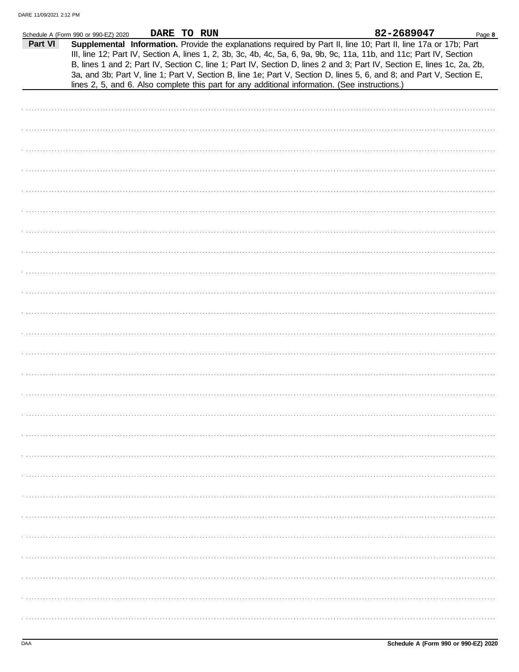|         | Schedule A (Form 990 or 990-EZ) 2020                                                           | DARE TO RUN |  | 82-2689047                                                                                                                                                                                                                                                                                                                                                                                                                                                                                | Page 8 |
|---------|------------------------------------------------------------------------------------------------|-------------|--|-------------------------------------------------------------------------------------------------------------------------------------------------------------------------------------------------------------------------------------------------------------------------------------------------------------------------------------------------------------------------------------------------------------------------------------------------------------------------------------------|--------|
| Part VI | lines 2, 5, and 6. Also complete this part for any additional information. (See instructions.) |             |  | Supplemental Information. Provide the explanations required by Part II, line 10; Part II, line 17a or 17b; Part<br>III, line 12; Part IV, Section A, lines 1, 2, 3b, 3c, 4b, 4c, 5a, 6, 9a, 9b, 9c, 11a, 11b, and 11c; Part IV, Section<br>B, lines 1 and 2; Part IV, Section C, line 1; Part IV, Section D, lines 2 and 3; Part IV, Section E, lines 1c, 2a, 2b,<br>3a, and 3b; Part V, line 1; Part V, Section B, line 1e; Part V, Section D, lines 5, 6, and 8; and Part V, Section E, |        |
|         |                                                                                                |             |  |                                                                                                                                                                                                                                                                                                                                                                                                                                                                                           |        |
|         |                                                                                                |             |  |                                                                                                                                                                                                                                                                                                                                                                                                                                                                                           |        |
|         |                                                                                                |             |  |                                                                                                                                                                                                                                                                                                                                                                                                                                                                                           |        |
|         |                                                                                                |             |  |                                                                                                                                                                                                                                                                                                                                                                                                                                                                                           |        |
|         |                                                                                                |             |  |                                                                                                                                                                                                                                                                                                                                                                                                                                                                                           |        |
|         |                                                                                                |             |  |                                                                                                                                                                                                                                                                                                                                                                                                                                                                                           |        |
|         |                                                                                                |             |  |                                                                                                                                                                                                                                                                                                                                                                                                                                                                                           |        |
|         |                                                                                                |             |  |                                                                                                                                                                                                                                                                                                                                                                                                                                                                                           |        |
|         |                                                                                                |             |  |                                                                                                                                                                                                                                                                                                                                                                                                                                                                                           |        |
|         |                                                                                                |             |  |                                                                                                                                                                                                                                                                                                                                                                                                                                                                                           |        |
|         |                                                                                                |             |  |                                                                                                                                                                                                                                                                                                                                                                                                                                                                                           |        |
|         |                                                                                                |             |  |                                                                                                                                                                                                                                                                                                                                                                                                                                                                                           |        |
|         |                                                                                                |             |  |                                                                                                                                                                                                                                                                                                                                                                                                                                                                                           |        |
|         |                                                                                                |             |  |                                                                                                                                                                                                                                                                                                                                                                                                                                                                                           |        |
|         |                                                                                                |             |  |                                                                                                                                                                                                                                                                                                                                                                                                                                                                                           |        |
|         |                                                                                                |             |  |                                                                                                                                                                                                                                                                                                                                                                                                                                                                                           |        |
|         |                                                                                                |             |  |                                                                                                                                                                                                                                                                                                                                                                                                                                                                                           |        |
|         |                                                                                                |             |  |                                                                                                                                                                                                                                                                                                                                                                                                                                                                                           |        |
|         |                                                                                                |             |  |                                                                                                                                                                                                                                                                                                                                                                                                                                                                                           |        |
|         |                                                                                                |             |  |                                                                                                                                                                                                                                                                                                                                                                                                                                                                                           |        |
|         |                                                                                                |             |  |                                                                                                                                                                                                                                                                                                                                                                                                                                                                                           |        |
|         |                                                                                                |             |  |                                                                                                                                                                                                                                                                                                                                                                                                                                                                                           |        |
|         |                                                                                                |             |  |                                                                                                                                                                                                                                                                                                                                                                                                                                                                                           |        |
|         |                                                                                                |             |  |                                                                                                                                                                                                                                                                                                                                                                                                                                                                                           |        |
|         |                                                                                                |             |  |                                                                                                                                                                                                                                                                                                                                                                                                                                                                                           |        |
|         |                                                                                                |             |  |                                                                                                                                                                                                                                                                                                                                                                                                                                                                                           |        |
|         |                                                                                                |             |  |                                                                                                                                                                                                                                                                                                                                                                                                                                                                                           |        |